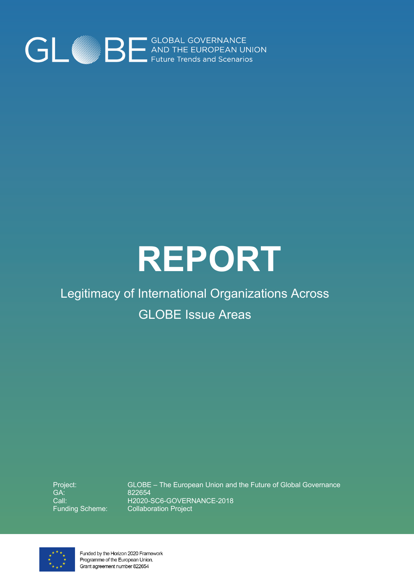

# **REPORT**

## Legitimacy of International Organizations Across GLOBE Issue Areas

Project: GA: Call: Funding Scheme: GLOBE – The European Union and the Future of Global Governance 822654 H2020-SC6-GOVERNANCE-2018 Collaboration Project



Funded by the Horizon 2020 Framework Programme of the European Union. Grant agreement number 822654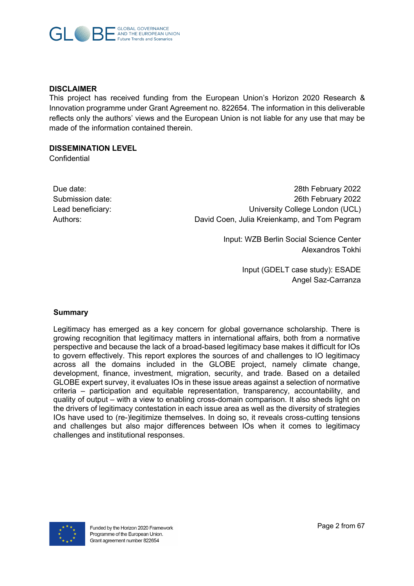

#### **DISCLAIMER**

This project has received funding from the European Union's Horizon 2020 Research & Innovation programme under Grant Agreement no. 822654. The information in this deliverable reflects only the authors' views and the European Union is not liable for any use that may be made of the information contained therein.

#### **DISSEMINATION LEVEL**

**Confidential** 

| Due date:         |
|-------------------|
| Submission date:  |
| Lead beneficiary: |
| Authors:          |

28th February 2022 26th February 2022 University College London (UCL) David Coen, Julia Kreienkamp, and Tom Pegram

> Input: WZB Berlin Social Science Center Alexandros Tokhi

> > Input (GDELT case study): ESADE Angel Saz-Carranza

#### **Summary**

Legitimacy has emerged as a key concern for global governance scholarship. There is growing recognition that legitimacy matters in international affairs, both from a normative perspective and because the lack of a broad-based legitimacy base makes it difficult for IOs to govern effectively. This report explores the sources of and challenges to IO legitimacy across all the domains included in the GLOBE project, namely climate change, development, finance, investment, migration, security, and trade. Based on a detailed GLOBE expert survey, it evaluates IOs in these issue areas against a selection of normative criteria – participation and equitable representation, transparency, accountability, and quality of output – with a view to enabling cross-domain comparison. It also sheds light on the drivers of legitimacy contestation in each issue area as well as the diversity of strategies IOs have used to (re-)legitimize themselves. In doing so, it reveals cross-cutting tensions and challenges but also major differences between IOs when it comes to legitimacy challenges and institutional responses.

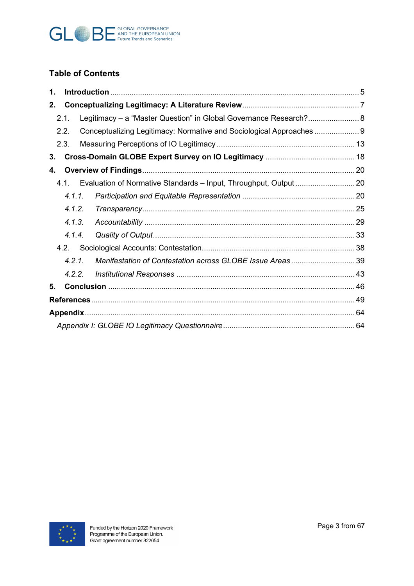

## **Table of Contents**

| 1. |        |  |                                                                       |  |  |
|----|--------|--|-----------------------------------------------------------------------|--|--|
| 2. |        |  |                                                                       |  |  |
|    | 2.1.   |  | Legitimacy - a "Master Question" in Global Governance Research? 8     |  |  |
|    | 2.2.   |  | Conceptualizing Legitimacy: Normative and Sociological Approaches     |  |  |
|    | 2.3.   |  |                                                                       |  |  |
| 3. |        |  |                                                                       |  |  |
| 4. |        |  |                                                                       |  |  |
|    |        |  | 4.1. Evaluation of Normative Standards - Input, Throughput, Output 20 |  |  |
|    | 4.1.1. |  |                                                                       |  |  |
|    | 4.1.2. |  |                                                                       |  |  |
|    | 4.1.3. |  |                                                                       |  |  |
|    | 4.1.4. |  |                                                                       |  |  |
|    |        |  |                                                                       |  |  |
|    | 4.2.1. |  | Manifestation of Contestation across GLOBE Issue Areas39              |  |  |
|    | 4.2.2. |  |                                                                       |  |  |
| 5. |        |  |                                                                       |  |  |
|    |        |  |                                                                       |  |  |
|    |        |  |                                                                       |  |  |
|    |        |  |                                                                       |  |  |

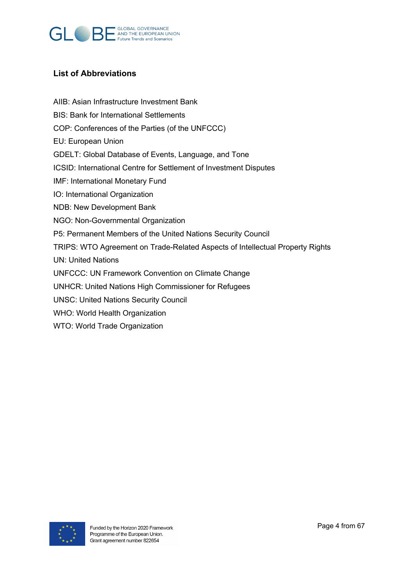

#### **List of Abbreviations**

- AIIB: Asian Infrastructure Investment Bank
- BIS: Bank for International Settlements
- COP: Conferences of the Parties (of the UNFCCC)
- EU: European Union
- GDELT: Global Database of Events, Language, and Tone
- ICSID: International Centre for Settlement of Investment Disputes
- IMF: International Monetary Fund
- IO: International Organization
- NDB: New Development Bank
- NGO: Non-Governmental Organization
- P5: Permanent Members of the United Nations Security Council
- TRIPS: WTO Agreement on Trade-Related Aspects of Intellectual Property Rights
- UN: United Nations
- UNFCCC: UN Framework Convention on Climate Change
- UNHCR: United Nations High Commissioner for Refugees
- UNSC: United Nations Security Council
- WHO: World Health Organization
- WTO: World Trade Organization

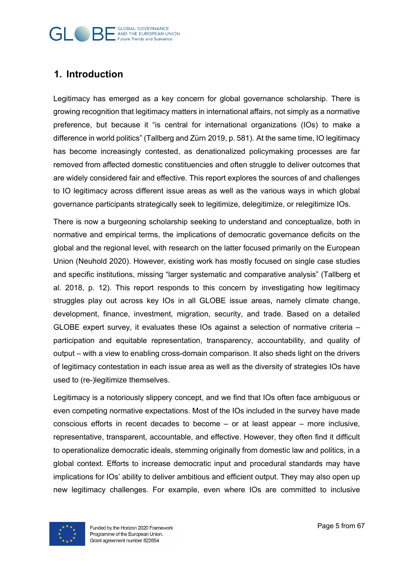## **GLOBAL GOVERNANCE Future Trends and Scenarios**

## **1. Introduction**

Legitimacy has emerged as a key concern for global governance scholarship. There is growing recognition that legitimacy matters in international affairs, not simply as a normative preference, but because it "is central for international organizations (IOs) to make a difference in world politics" (Tallberg and Zürn 2019, p. 581). At the same time, IO legitimacy has become increasingly contested, as denationalized policymaking processes are far removed from affected domestic constituencies and often struggle to deliver outcomes that are widely considered fair and effective. This report explores the sources of and challenges to IO legitimacy across different issue areas as well as the various ways in which global governance participants strategically seek to legitimize, delegitimize, or relegitimize IOs.

There is now a burgeoning scholarship seeking to understand and conceptualize, both in normative and empirical terms, the implications of democratic governance deficits on the global and the regional level, with research on the latter focused primarily on the European Union (Neuhold 2020). However, existing work has mostly focused on single case studies and specific institutions, missing "larger systematic and comparative analysis" (Tallberg et al. 2018, p. 12). This report responds to this concern by investigating how legitimacy struggles play out across key IOs in all GLOBE issue areas, namely climate change, development, finance, investment, migration, security, and trade. Based on a detailed GLOBE expert survey, it evaluates these IOs against a selection of normative criteria – participation and equitable representation, transparency, accountability, and quality of output – with a view to enabling cross-domain comparison. It also sheds light on the drivers of legitimacy contestation in each issue area as well as the diversity of strategies IOs have used to (re-)legitimize themselves.

Legitimacy is a notoriously slippery concept, and we find that IOs often face ambiguous or even competing normative expectations. Most of the IOs included in the survey have made conscious efforts in recent decades to become – or at least appear – more inclusive, representative, transparent, accountable, and effective. However, they often find it difficult to operationalize democratic ideals, stemming originally from domestic law and politics, in a global context. Efforts to increase democratic input and procedural standards may have implications for IOs' ability to deliver ambitious and efficient output. They may also open up new legitimacy challenges. For example, even where IOs are committed to inclusive

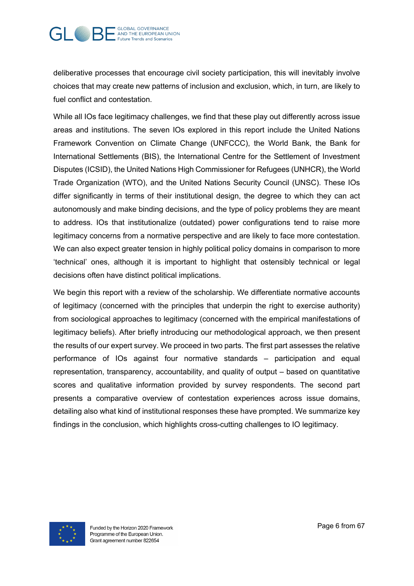

deliberative processes that encourage civil society participation, this will inevitably involve choices that may create new patterns of inclusion and exclusion, which, in turn, are likely to fuel conflict and contestation.

While all IOs face legitimacy challenges, we find that these play out differently across issue areas and institutions. The seven IOs explored in this report include the United Nations Framework Convention on Climate Change (UNFCCC), the World Bank, the Bank for International Settlements (BIS), the International Centre for the Settlement of Investment Disputes (ICSID), the United Nations High Commissioner for Refugees (UNHCR), the World Trade Organization (WTO), and the United Nations Security Council (UNSC). These IOs differ significantly in terms of their institutional design, the degree to which they can act autonomously and make binding decisions, and the type of policy problems they are meant to address. IOs that institutionalize (outdated) power configurations tend to raise more legitimacy concerns from a normative perspective and are likely to face more contestation. We can also expect greater tension in highly political policy domains in comparison to more 'technical' ones, although it is important to highlight that ostensibly technical or legal decisions often have distinct political implications.

We begin this report with a review of the scholarship. We differentiate normative accounts of legitimacy (concerned with the principles that underpin the right to exercise authority) from sociological approaches to legitimacy (concerned with the empirical manifestations of legitimacy beliefs). After briefly introducing our methodological approach, we then present the results of our expert survey. We proceed in two parts. The first part assesses the relative performance of IOs against four normative standards – participation and equal representation, transparency, accountability, and quality of output – based on quantitative scores and qualitative information provided by survey respondents. The second part presents a comparative overview of contestation experiences across issue domains, detailing also what kind of institutional responses these have prompted. We summarize key findings in the conclusion, which highlights cross-cutting challenges to IO legitimacy.

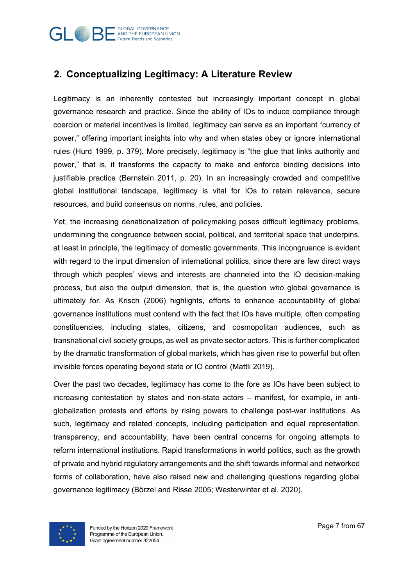

## **2. Conceptualizing Legitimacy: A Literature Review**

Legitimacy is an inherently contested but increasingly important concept in global governance research and practice. Since the ability of IOs to induce compliance through coercion or material incentives is limited, legitimacy can serve as an important "currency of power," offering important insights into why and when states obey or ignore international rules (Hurd 1999, p. 379). More precisely, legitimacy is "the glue that links authority and power," that is, it transforms the capacity to make and enforce binding decisions into justifiable practice (Bernstein 2011, p. 20). In an increasingly crowded and competitive global institutional landscape, legitimacy is vital for IOs to retain relevance, secure resources, and build consensus on norms, rules, and policies.

Yet, the increasing denationalization of policymaking poses difficult legitimacy problems, undermining the congruence between social, political, and territorial space that underpins, at least in principle, the legitimacy of domestic governments. This incongruence is evident with regard to the input dimension of international politics, since there are few direct ways through which peoples' views and interests are channeled into the IO decision-making process, but also the output dimension, that is, the question *who* global governance is ultimately for. As Krisch (2006) highlights, efforts to enhance accountability of global governance institutions must contend with the fact that IOs have multiple, often competing constituencies, including states, citizens, and cosmopolitan audiences, such as transnational civil society groups, as well as private sector actors. This is further complicated by the dramatic transformation of global markets, which has given rise to powerful but often invisible forces operating beyond state or IO control (Mattli 2019).

Over the past two decades, legitimacy has come to the fore as IOs have been subject to increasing contestation by states and non-state actors – manifest, for example, in antiglobalization protests and efforts by rising powers to challenge post-war institutions. As such, legitimacy and related concepts, including participation and equal representation, transparency, and accountability, have been central concerns for ongoing attempts to reform international institutions. Rapid transformations in world politics, such as the growth of private and hybrid regulatory arrangements and the shift towards informal and networked forms of collaboration, have also raised new and challenging questions regarding global governance legitimacy (Börzel and Risse 2005; Westerwinter et al. 2020).

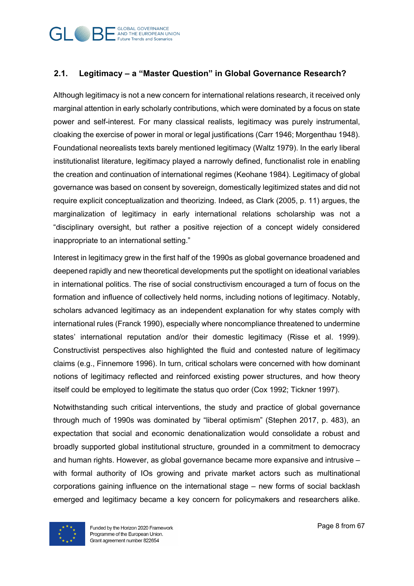

#### **2.1. Legitimacy – a "Master Question" in Global Governance Research?**

Although legitimacy is not a new concern for international relations research, it received only marginal attention in early scholarly contributions, which were dominated by a focus on state power and self-interest. For many classical realists, legitimacy was purely instrumental, cloaking the exercise of power in moral or legal justifications (Carr 1946; Morgenthau 1948). Foundational neorealists texts barely mentioned legitimacy (Waltz 1979). In the early liberal institutionalist literature, legitimacy played a narrowly defined, functionalist role in enabling the creation and continuation of international regimes (Keohane 1984). Legitimacy of global governance was based on consent by sovereign, domestically legitimized states and did not require explicit conceptualization and theorizing. Indeed, as Clark (2005, p. 11) argues, the marginalization of legitimacy in early international relations scholarship was not a "disciplinary oversight, but rather a positive rejection of a concept widely considered inappropriate to an international setting."

Interest in legitimacy grew in the first half of the 1990s as global governance broadened and deepened rapidly and new theoretical developments put the spotlight on ideational variables in international politics. The rise of social constructivism encouraged a turn of focus on the formation and influence of collectively held norms, including notions of legitimacy. Notably, scholars advanced legitimacy as an independent explanation for why states comply with international rules (Franck 1990), especially where noncompliance threatened to undermine states' international reputation and/or their domestic legitimacy (Risse et al. 1999). Constructivist perspectives also highlighted the fluid and contested nature of legitimacy claims (e.g., Finnemore 1996). In turn, critical scholars were concerned with how dominant notions of legitimacy reflected and reinforced existing power structures, and how theory itself could be employed to legitimate the status quo order (Cox 1992; Tickner 1997).

Notwithstanding such critical interventions, the study and practice of global governance through much of 1990s was dominated by "liberal optimism" (Stephen 2017, p. 483), an expectation that social and economic denationalization would consolidate a robust and broadly supported global institutional structure, grounded in a commitment to democracy and human rights. However, as global governance became more expansive and intrusive – with formal authority of IOs growing and private market actors such as multinational corporations gaining influence on the international stage – new forms of social backlash emerged and legitimacy became a key concern for policymakers and researchers alike.

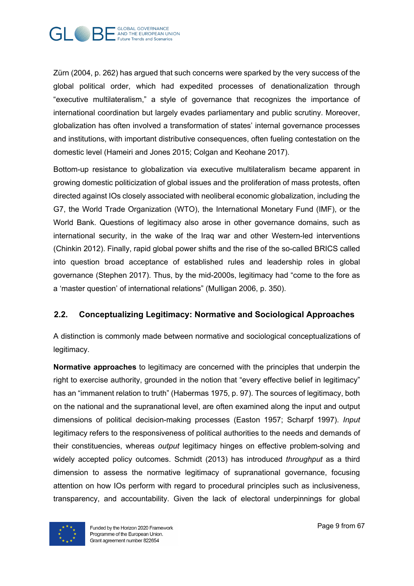

Zürn (2004, p. 262) has argued that such concerns were sparked by the very success of the global political order, which had expedited processes of denationalization through "executive multilateralism," a style of governance that recognizes the importance of international coordination but largely evades parliamentary and public scrutiny. Moreover, globalization has often involved a transformation of states' internal governance processes and institutions, with important distributive consequences, often fueling contestation on the domestic level (Hameiri and Jones 2015; Colgan and Keohane 2017).

Bottom-up resistance to globalization via executive multilateralism became apparent in growing domestic politicization of global issues and the proliferation of mass protests, often directed against IOs closely associated with neoliberal economic globalization, including the G7, the World Trade Organization (WTO), the International Monetary Fund (IMF), or the World Bank. Questions of legitimacy also arose in other governance domains, such as international security, in the wake of the Iraq war and other Western-led interventions (Chinkin 2012). Finally, rapid global power shifts and the rise of the so-called BRICS called into question broad acceptance of established rules and leadership roles in global governance (Stephen 2017). Thus, by the mid-2000s, legitimacy had "come to the fore as a 'master question' of international relations" (Mulligan 2006, p. 350).

#### **2.2. Conceptualizing Legitimacy: Normative and Sociological Approaches**

A distinction is commonly made between normative and sociological conceptualizations of legitimacy.

**Normative approaches** to legitimacy are concerned with the principles that underpin the right to exercise authority, grounded in the notion that "every effective belief in legitimacy" has an "immanent relation to truth" (Habermas 1975, p. 97). The sources of legitimacy, both on the national and the supranational level, are often examined along the input and output dimensions of political decision-making processes (Easton 1957; Scharpf 1997). *Input* legitimacy refers to the responsiveness of political authorities to the needs and demands of their constituencies, whereas *output* legitimacy hinges on effective problem-solving and widely accepted policy outcomes. Schmidt (2013) has introduced *throughput* as a third dimension to assess the normative legitimacy of supranational governance, focusing attention on how IOs perform with regard to procedural principles such as inclusiveness, transparency, and accountability. Given the lack of electoral underpinnings for global

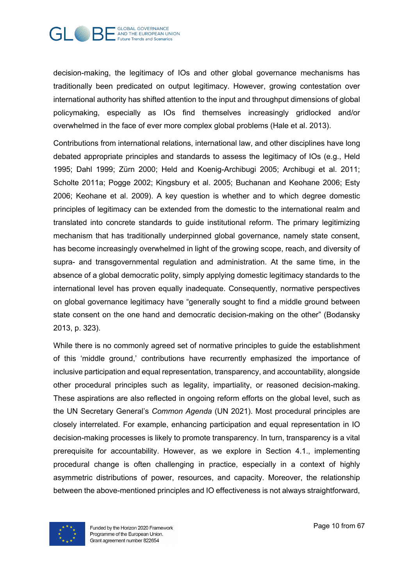

decision-making, the legitimacy of IOs and other global governance mechanisms has traditionally been predicated on output legitimacy. However, growing contestation over international authority has shifted attention to the input and throughput dimensions of global policymaking, especially as IOs find themselves increasingly gridlocked and/or overwhelmed in the face of ever more complex global problems (Hale et al. 2013).

Contributions from international relations, international law, and other disciplines have long debated appropriate principles and standards to assess the legitimacy of IOs (e.g., Held 1995; Dahl 1999; Zürn 2000; Held and Koenig-Archibugi 2005; Archibugi et al. 2011; Scholte 2011a; Pogge 2002; Kingsbury et al. 2005; Buchanan and Keohane 2006; Esty 2006; Keohane et al. 2009). A key question is whether and to which degree domestic principles of legitimacy can be extended from the domestic to the international realm and translated into concrete standards to guide institutional reform. The primary legitimizing mechanism that has traditionally underpinned global governance, namely state consent, has become increasingly overwhelmed in light of the growing scope, reach, and diversity of supra- and transgovernmental regulation and administration. At the same time, in the absence of a global democratic polity, simply applying domestic legitimacy standards to the international level has proven equally inadequate. Consequently, normative perspectives on global governance legitimacy have "generally sought to find a middle ground between state consent on the one hand and democratic decision-making on the other" (Bodansky 2013, p. 323).

While there is no commonly agreed set of normative principles to guide the establishment of this 'middle ground,' contributions have recurrently emphasized the importance of inclusive participation and equal representation, transparency, and accountability, alongside other procedural principles such as legality, impartiality, or reasoned decision-making. These aspirations are also reflected in ongoing reform efforts on the global level, such as the UN Secretary General's *Common Agenda* (UN 2021). Most procedural principles are closely interrelated. For example, enhancing participation and equal representation in IO decision-making processes is likely to promote transparency. In turn, transparency is a vital prerequisite for accountability. However, as we explore in Section 4.1., implementing procedural change is often challenging in practice, especially in a context of highly asymmetric distributions of power, resources, and capacity. Moreover, the relationship between the above-mentioned principles and IO effectiveness is not always straightforward,

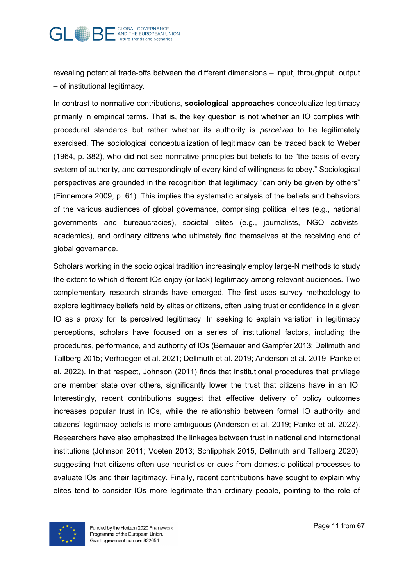

revealing potential trade-offs between the different dimensions – input, throughput, output – of institutional legitimacy.

In contrast to normative contributions, **sociological approaches** conceptualize legitimacy primarily in empirical terms. That is, the key question is not whether an IO complies with procedural standards but rather whether its authority is *perceived* to be legitimately exercised. The sociological conceptualization of legitimacy can be traced back to Weber (1964, p. 382), who did not see normative principles but beliefs to be "the basis of every system of authority, and correspondingly of every kind of willingness to obey." Sociological perspectives are grounded in the recognition that legitimacy "can only be given by others" (Finnemore 2009, p. 61). This implies the systematic analysis of the beliefs and behaviors of the various audiences of global governance, comprising political elites (e.g., national governments and bureaucracies), societal elites (e.g., journalists, NGO activists, academics), and ordinary citizens who ultimately find themselves at the receiving end of global governance.

Scholars working in the sociological tradition increasingly employ large-N methods to study the extent to which different IOs enjoy (or lack) legitimacy among relevant audiences. Two complementary research strands have emerged. The first uses survey methodology to explore legitimacy beliefs held by elites or citizens, often using trust or confidence in a given IO as a proxy for its perceived legitimacy. In seeking to explain variation in legitimacy perceptions, scholars have focused on a series of institutional factors, including the procedures, performance, and authority of IOs (Bernauer and Gampfer 2013; Dellmuth and Tallberg 2015; Verhaegen et al. 2021; Dellmuth et al. 2019; Anderson et al. 2019; Panke et al. 2022). In that respect, Johnson (2011) finds that institutional procedures that privilege one member state over others, significantly lower the trust that citizens have in an IO. Interestingly, recent contributions suggest that effective delivery of policy outcomes increases popular trust in IOs, while the relationship between formal IO authority and citizens' legitimacy beliefs is more ambiguous (Anderson et al. 2019; Panke et al. 2022). Researchers have also emphasized the linkages between trust in national and international institutions (Johnson 2011; Voeten 2013; Schlipphak 2015, Dellmuth and Tallberg 2020), suggesting that citizens often use heuristics or cues from domestic political processes to evaluate IOs and their legitimacy. Finally, recent contributions have sought to explain why elites tend to consider IOs more legitimate than ordinary people, pointing to the role of

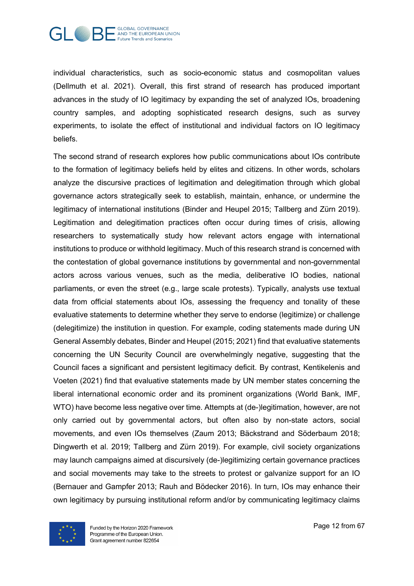

individual characteristics, such as socio-economic status and cosmopolitan values (Dellmuth et al. 2021). Overall, this first strand of research has produced important advances in the study of IO legitimacy by expanding the set of analyzed IOs, broadening country samples, and adopting sophisticated research designs, such as survey experiments, to isolate the effect of institutional and individual factors on IO legitimacy beliefs.

The second strand of research explores how public communications about IOs contribute to the formation of legitimacy beliefs held by elites and citizens. In other words, scholars analyze the discursive practices of legitimation and delegitimation through which global governance actors strategically seek to establish, maintain, enhance, or undermine the legitimacy of international institutions (Binder and Heupel 2015; Tallberg and Zürn 2019). Legitimation and delegitimation practices often occur during times of crisis, allowing researchers to systematically study how relevant actors engage with international institutions to produce or withhold legitimacy. Much of this research strand is concerned with the contestation of global governance institutions by governmental and non-governmental actors across various venues, such as the media, deliberative IO bodies, national parliaments, or even the street (e.g., large scale protests). Typically, analysts use textual data from official statements about IOs, assessing the frequency and tonality of these evaluative statements to determine whether they serve to endorse (legitimize) or challenge (delegitimize) the institution in question. For example, coding statements made during UN General Assembly debates, Binder and Heupel (2015; 2021) find that evaluative statements concerning the UN Security Council are overwhelmingly negative, suggesting that the Council faces a significant and persistent legitimacy deficit. By contrast, Kentikelenis and Voeten (2021) find that evaluative statements made by UN member states concerning the liberal international economic order and its prominent organizations (World Bank, IMF, WTO) have become less negative over time. Attempts at (de-)legitimation, however, are not only carried out by governmental actors, but often also by non-state actors, social movements, and even IOs themselves (Zaum 2013; Bäckstrand and Söderbaum 2018; Dingwerth et al. 2019; Tallberg and Zürn 2019). For example, civil society organizations may launch campaigns aimed at discursively (de-)legitimizing certain governance practices and social movements may take to the streets to protest or galvanize support for an IO (Bernauer and Gampfer 2013; Rauh and Bödecker 2016). In turn, IOs may enhance their own legitimacy by pursuing institutional reform and/or by communicating legitimacy claims

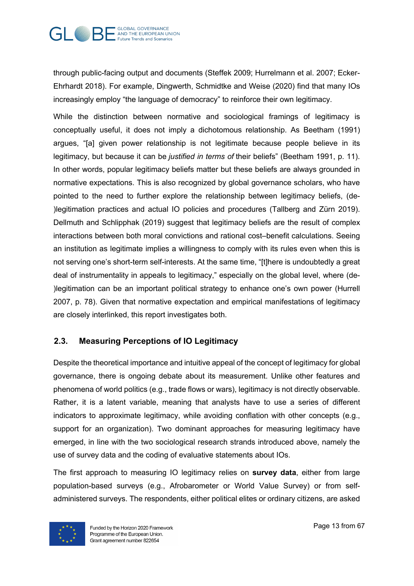

through public-facing output and documents (Steffek 2009; Hurrelmann et al. 2007; Ecker-Ehrhardt 2018). For example, Dingwerth, Schmidtke and Weise (2020) find that many IOs increasingly employ "the language of democracy" to reinforce their own legitimacy.

While the distinction between normative and sociological framings of legitimacy is conceptually useful, it does not imply a dichotomous relationship. As Beetham (1991) argues, "[a] given power relationship is not legitimate because people believe in its legitimacy, but because it can be *justified in terms of* their beliefs" (Beetham 1991, p. 11). In other words, popular legitimacy beliefs matter but these beliefs are always grounded in normative expectations. This is also recognized by global governance scholars, who have pointed to the need to further explore the relationship between legitimacy beliefs, (de- )legitimation practices and actual IO policies and procedures (Tallberg and Zürn 2019). Dellmuth and Schlipphak (2019) suggest that legitimacy beliefs are the result of complex interactions between both moral convictions and rational cost–benefit calculations. Seeing an institution as legitimate implies a willingness to comply with its rules even when this is not serving one's short-term self-interests. At the same time, "[t]here is undoubtedly a great deal of instrumentality in appeals to legitimacy," especially on the global level, where (de- )legitimation can be an important political strategy to enhance one's own power (Hurrell 2007, p. 78). Given that normative expectation and empirical manifestations of legitimacy are closely interlinked, this report investigates both.

#### **2.3. Measuring Perceptions of IO Legitimacy**

Despite the theoretical importance and intuitive appeal of the concept of legitimacy for global governance, there is ongoing debate about its measurement. Unlike other features and phenomena of world politics (e.g., trade flows or wars), legitimacy is not directly observable. Rather, it is a latent variable, meaning that analysts have to use a series of different indicators to approximate legitimacy, while avoiding conflation with other concepts (e.g., support for an organization). Two dominant approaches for measuring legitimacy have emerged, in line with the two sociological research strands introduced above, namely the use of survey data and the coding of evaluative statements about IOs.

The first approach to measuring IO legitimacy relies on **survey data**, either from large population-based surveys (e.g., Afrobarometer or World Value Survey) or from selfadministered surveys. The respondents, either political elites or ordinary citizens, are asked

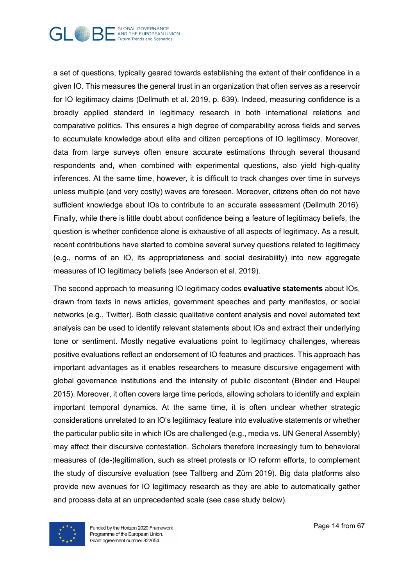

a set of questions, typically geared towards establishing the extent of their confidence in a given IO. This measures the general trust in an organization that often serves as a reservoir for IO legitimacy claims (Dellmuth et al. 2019, p. 639). Indeed, measuring confidence is a broadly applied standard in legitimacy research in both international relations and comparative politics. This ensures a high degree of comparability across fields and serves to accumulate knowledge about elite and citizen perceptions of IO legitimacy. Moreover, data from large surveys often ensure accurate estimations through several thousand respondents and, when combined with experimental questions, also yield high-quality inferences. At the same time, however, it is difficult to track changes over time in surveys unless multiple (and very costly) waves are foreseen. Moreover, citizens often do not have sufficient knowledge about IOs to contribute to an accurate assessment (Dellmuth 2016). Finally, while there is little doubt about confidence being a feature of legitimacy beliefs, the question is whether confidence alone is exhaustive of all aspects of legitimacy. As a result, recent contributions have started to combine several survey questions related to legitimacy (e.g., norms of an IO, its appropriateness and social desirability) into new aggregate measures of IO legitimacy beliefs (see Anderson et al. 2019).

The second approach to measuring IO legitimacy codes **evaluative statements** about IOs, drawn from texts in news articles, government speeches and party manifestos, or social networks (e.g., Twitter). Both classic qualitative content analysis and novel automated text analysis can be used to identify relevant statements about IOs and extract their underlying tone or sentiment. Mostly negative evaluations point to legitimacy challenges, whereas positive evaluations reflect an endorsement of IO features and practices. This approach has important advantages as it enables researchers to measure discursive engagement with global governance institutions and the intensity of public discontent (Binder and Heupel 2015). Moreover, it often covers large time periods, allowing scholars to identify and explain important temporal dynamics. At the same time, it is often unclear whether strategic considerations unrelated to an IO's legitimacy feature into evaluative statements or whether the particular public site in which IOs are challenged (e.g., media vs. UN General Assembly) may affect their discursive contestation. Scholars therefore increasingly turn to behavioral measures of (de-)legitimation, such as street protests or IO reform efforts, to complement the study of discursive evaluation (see Tallberg and Zürn 2019). Big data platforms also provide new avenues for IO legitimacy research as they are able to automatically gather and process data at an unprecedented scale (see case study below).

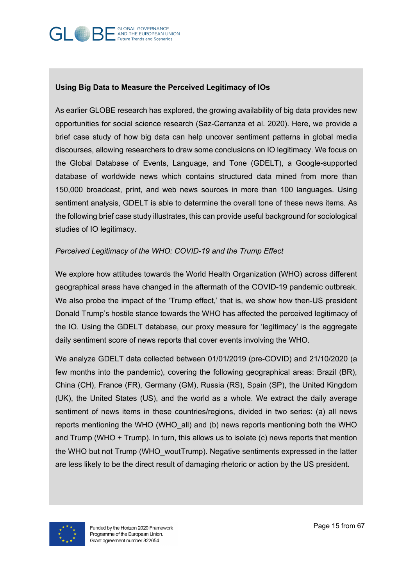#### GLOBAL GOVERNANCE AND THE EUROPEAN UNION **Future Trends and Scenarios**

#### **Using Big Data to Measure the Perceived Legitimacy of IOs**

As earlier GLOBE research has explored, the growing availability of big data provides new opportunities for social science research (Saz-Carranza et al. 2020). Here, we provide a brief case study of how big data can help uncover sentiment patterns in global media discourses, allowing researchers to draw some conclusions on IO legitimacy. We focus on the Global Database of Events, Language, and Tone (GDELT), a Google-supported database of worldwide news which contains structured data mined from more than 150,000 broadcast, print, and web news sources in more than 100 languages. Using sentiment analysis, GDELT is able to determine the overall tone of these news items. As the following brief case study illustrates, this can provide useful background for sociological studies of IO legitimacy.

#### *Perceived Legitimacy of the WHO: COVID-19 and the Trump Effect*

We explore how attitudes towards the World Health Organization (WHO) across different geographical areas have changed in the aftermath of the COVID-19 pandemic outbreak. We also probe the impact of the 'Trump effect,' that is, we show how then-US president Donald Trump's hostile stance towards the WHO has affected the perceived legitimacy of the IO. Using the GDELT database, our proxy measure for 'legitimacy' is the aggregate daily sentiment score of news reports that cover events involving the WHO.

We analyze GDELT data collected between 01/01/2019 (pre-COVID) and 21/10/2020 (a few months into the pandemic), covering the following geographical areas: Brazil (BR), China (CH), France (FR), Germany (GM), Russia (RS), Spain (SP), the United Kingdom (UK), the United States (US), and the world as a whole. We extract the daily average sentiment of news items in these countries/regions, divided in two series: (a) all news reports mentioning the WHO (WHO\_all) and (b) news reports mentioning both the WHO and Trump (WHO + Trump). In turn, this allows us to isolate (c) news reports that mention the WHO but not Trump (WHO\_woutTrump). Negative sentiments expressed in the latter are less likely to be the direct result of damaging rhetoric or action by the US president.

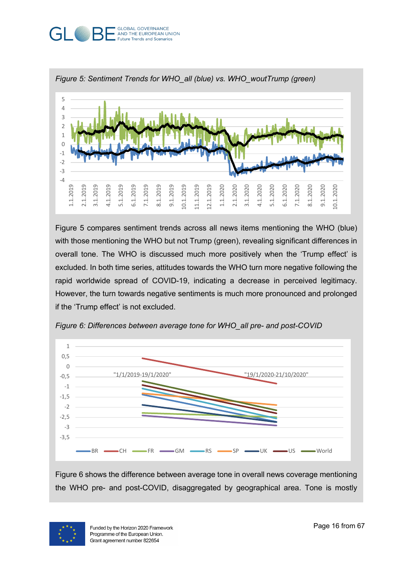#### **GLOBAL GOVERNANCE** GL AND THE EUROPEAN UNION **Future Trends and Scenarios**



Figure 5 compares sentiment trends across all news items mentioning the WHO (blue) with those mentioning the WHO but not Trump (green), revealing significant differences in overall tone. The WHO is discussed much more positively when the 'Trump effect' is excluded. In both time series, attitudes towards the WHO turn more negative following the rapid worldwide spread of COVID-19, indicating a decrease in perceived legitimacy. However, the turn towards negative sentiments is much more pronounced and prolonged if the 'Trump effect' is not excluded.



*Figure 6: Differences between average tone for WHO\_all pre- and post-COVID*

Figure 6 shows the difference between average tone in overall news coverage mentioning the WHO pre- and post-COVID, disaggregated by geographical area. Tone is mostly

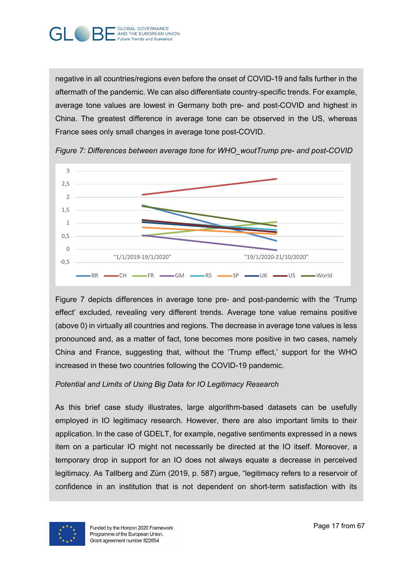

negative in all countries/regions even before the onset of COVID-19 and falls further in the aftermath of the pandemic. We can also differentiate country-specific trends. For example, average tone values are lowest in Germany both pre- and post-COVID and highest in China. The greatest difference in average tone can be observed in the US, whereas France sees only small changes in average tone post-COVID.



*Figure 7: Differences between average tone for WHO\_woutTrump pre- and post-COVID*

Figure 7 depicts differences in average tone pre- and post-pandemic with the 'Trump effect' excluded, revealing very different trends. Average tone value remains positive (above 0) in virtually all countries and regions. The decrease in average tone values is less pronounced and, as a matter of fact, tone becomes more positive in two cases, namely China and France, suggesting that, without the 'Trump effect,' support for the WHO increased in these two countries following the COVID-19 pandemic.

#### *Potential and Limits of Using Big Data for IO Legitimacy Research*

As this brief case study illustrates, large algorithm-based datasets can be usefully employed in IO legitimacy research. However, there are also important limits to their application. In the case of GDELT, for example, negative sentiments expressed in a news item on a particular IO might not necessarily be directed at the IO itself. Moreover, a temporary drop in support for an IO does not always equate a decrease in perceived legitimacy. As Tallberg and Zürn (2019, p. 587) argue, "legitimacy refers to a reservoir of confidence in an institution that is not dependent on short-term satisfaction with its

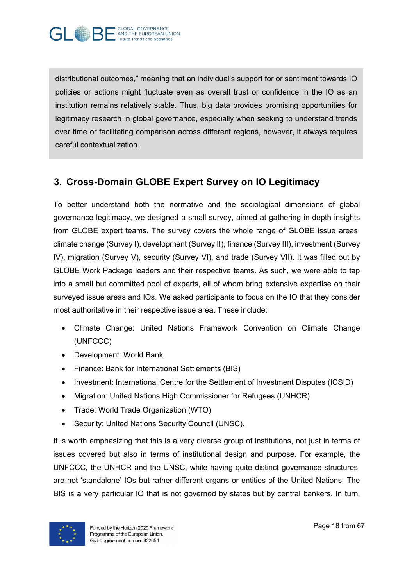distributional outcomes," meaning that an individual's support for or sentiment towards IO policies or actions might fluctuate even as overall trust or confidence in the IO as an institution remains relatively stable. Thus, big data provides promising opportunities for legitimacy research in global governance, especially when seeking to understand trends over time or facilitating comparison across different regions, however, it always requires careful contextualization.

## **3. Cross-Domain GLOBE Expert Survey on IO Legitimacy**

To better understand both the normative and the sociological dimensions of global governance legitimacy, we designed a small survey, aimed at gathering in-depth insights from GLOBE expert teams. The survey covers the whole range of GLOBE issue areas: climate change (Survey I), development (Survey II), finance (Survey III), investment (Survey IV), migration (Survey V), security (Survey VI), and trade (Survey VII). It was filled out by GLOBE Work Package leaders and their respective teams. As such, we were able to tap into a small but committed pool of experts, all of whom bring extensive expertise on their surveyed issue areas and IOs. We asked participants to focus on the IO that they consider most authoritative in their respective issue area. These include:

- Climate Change: United Nations Framework Convention on Climate Change (UNFCCC)
- Development: World Bank
- Finance: Bank for International Settlements (BIS)
- Investment: International Centre for the Settlement of Investment Disputes (ICSID)
- Migration: United Nations High Commissioner for Refugees (UNHCR)
- Trade: World Trade Organization (WTO)
- Security: United Nations Security Council (UNSC).

It is worth emphasizing that this is a very diverse group of institutions, not just in terms of issues covered but also in terms of institutional design and purpose. For example, the UNFCCC, the UNHCR and the UNSC, while having quite distinct governance structures, are not 'standalone' IOs but rather different organs or entities of the United Nations. The BIS is a very particular IO that is not governed by states but by central bankers. In turn,

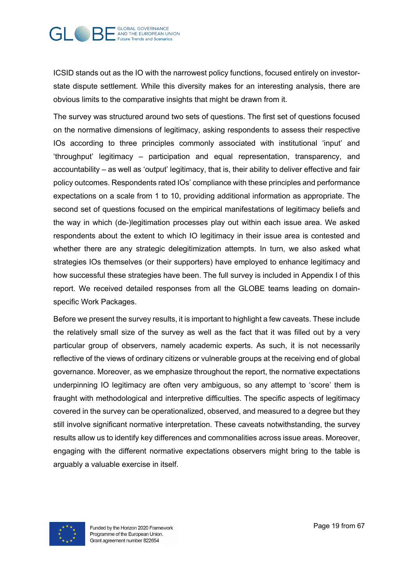

ICSID stands out as the IO with the narrowest policy functions, focused entirely on investorstate dispute settlement. While this diversity makes for an interesting analysis, there are obvious limits to the comparative insights that might be drawn from it.

The survey was structured around two sets of questions. The first set of questions focused on the normative dimensions of legitimacy, asking respondents to assess their respective IOs according to three principles commonly associated with institutional 'input' and 'throughput' legitimacy – participation and equal representation, transparency, and accountability – as well as 'output' legitimacy, that is, their ability to deliver effective and fair policy outcomes. Respondents rated IOs' compliance with these principles and performance expectations on a scale from 1 to 10, providing additional information as appropriate. The second set of questions focused on the empirical manifestations of legitimacy beliefs and the way in which (de-)legitimation processes play out within each issue area. We asked respondents about the extent to which IO legitimacy in their issue area is contested and whether there are any strategic delegitimization attempts. In turn, we also asked what strategies IOs themselves (or their supporters) have employed to enhance legitimacy and how successful these strategies have been. The full survey is included in Appendix I of this report. We received detailed responses from all the GLOBE teams leading on domainspecific Work Packages.

Before we present the survey results, it is important to highlight a few caveats. These include the relatively small size of the survey as well as the fact that it was filled out by a very particular group of observers, namely academic experts. As such, it is not necessarily reflective of the views of ordinary citizens or vulnerable groups at the receiving end of global governance. Moreover, as we emphasize throughout the report, the normative expectations underpinning IO legitimacy are often very ambiguous, so any attempt to 'score' them is fraught with methodological and interpretive difficulties. The specific aspects of legitimacy covered in the survey can be operationalized, observed, and measured to a degree but they still involve significant normative interpretation. These caveats notwithstanding, the survey results allow us to identify key differences and commonalities across issue areas. Moreover, engaging with the different normative expectations observers might bring to the table is arguably a valuable exercise in itself.

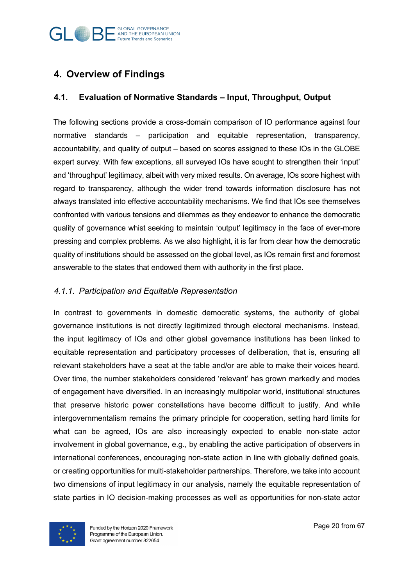

## **4. Overview of Findings**

#### **4.1. Evaluation of Normative Standards – Input, Throughput, Output**

The following sections provide a cross-domain comparison of IO performance against four normative standards – participation and equitable representation, transparency, accountability, and quality of output – based on scores assigned to these IOs in the GLOBE expert survey. With few exceptions, all surveyed IOs have sought to strengthen their 'input' and 'throughput' legitimacy, albeit with very mixed results. On average, IOs score highest with regard to transparency, although the wider trend towards information disclosure has not always translated into effective accountability mechanisms. We find that IOs see themselves confronted with various tensions and dilemmas as they endeavor to enhance the democratic quality of governance whist seeking to maintain 'output' legitimacy in the face of ever-more pressing and complex problems. As we also highlight, it is far from clear how the democratic quality of institutions should be assessed on the global level, as IOs remain first and foremost answerable to the states that endowed them with authority in the first place.

#### *4.1.1. Participation and Equitable Representation*

In contrast to governments in domestic democratic systems, the authority of global governance institutions is not directly legitimized through electoral mechanisms. Instead, the input legitimacy of IOs and other global governance institutions has been linked to equitable representation and participatory processes of deliberation, that is, ensuring all relevant stakeholders have a seat at the table and/or are able to make their voices heard. Over time, the number stakeholders considered 'relevant' has grown markedly and modes of engagement have diversified. In an increasingly multipolar world, institutional structures that preserve historic power constellations have become difficult to justify. And while intergovernmentalism remains the primary principle for cooperation, setting hard limits for what can be agreed, IOs are also increasingly expected to enable non-state actor involvement in global governance, e.g., by enabling the active participation of observers in international conferences, encouraging non-state action in line with globally defined goals, or creating opportunities for multi-stakeholder partnerships. Therefore, we take into account two dimensions of input legitimacy in our analysis, namely the equitable representation of state parties in IO decision-making processes as well as opportunities for non-state actor

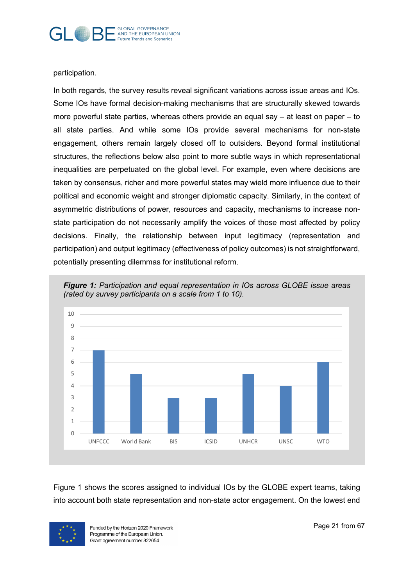

participation.

In both regards, the survey results reveal significant variations across issue areas and IOs. Some IOs have formal decision-making mechanisms that are structurally skewed towards more powerful state parties, whereas others provide an equal say – at least on paper – to all state parties. And while some IOs provide several mechanisms for non-state engagement, others remain largely closed off to outsiders. Beyond formal institutional structures, the reflections below also point to more subtle ways in which representational inequalities are perpetuated on the global level. For example, even where decisions are taken by consensus, richer and more powerful states may wield more influence due to their political and economic weight and stronger diplomatic capacity. Similarly, in the context of asymmetric distributions of power, resources and capacity, mechanisms to increase nonstate participation do not necessarily amplify the voices of those most affected by policy decisions. Finally, the relationship between input legitimacy (representation and participation) and output legitimacy (effectiveness of policy outcomes) is not straightforward, potentially presenting dilemmas for institutional reform.



*Figure 1: Participation and equal representation in IOs across GLOBE issue areas (rated by survey participants on a scale from 1 to 10).* 

Figure 1 shows the scores assigned to individual IOs by the GLOBE expert teams, taking into account both state representation and non-state actor engagement. On the lowest end

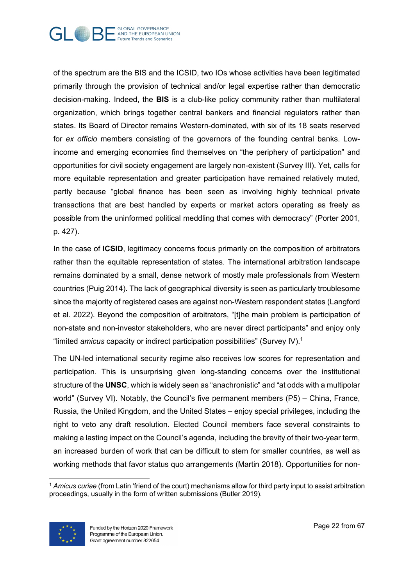

of the spectrum are the BIS and the ICSID, two IOs whose activities have been legitimated primarily through the provision of technical and/or legal expertise rather than democratic decision-making. Indeed, the **BIS** is a club-like policy community rather than multilateral organization, which brings together central bankers and financial regulators rather than states. Its Board of Director remains Western-dominated, with six of its 18 seats reserved for *ex officio* members consisting of the governors of the founding central banks. Lowincome and emerging economies find themselves on "the periphery of participation" and opportunities for civil society engagement are largely non-existent (Survey III). Yet, calls for more equitable representation and greater participation have remained relatively muted, partly because "global finance has been seen as involving highly technical private transactions that are best handled by experts or market actors operating as freely as possible from the uninformed political meddling that comes with democracy" (Porter 2001, p. 427).

In the case of **ICSID**, legitimacy concerns focus primarily on the composition of arbitrators rather than the equitable representation of states. The international arbitration landscape remains dominated by a small, dense network of mostly male professionals from Western countries (Puig 2014). The lack of geographical diversity is seen as particularly troublesome since the majority of registered cases are against non-Western respondent states (Langford et al. 2022). Beyond the composition of arbitrators, "[t]he main problem is participation of non-state and non-investor stakeholders, who are never direct participants" and enjoy only "limited *amicus* capacity or indirect participation possibilities" (Survey IV).1

The UN-led international security regime also receives low scores for representation and participation. This is unsurprising given long-standing concerns over the institutional structure of the **UNSC**, which is widely seen as "anachronistic" and "at odds with a multipolar world" (Survey VI). Notably, the Council's five permanent members (P5) – China, France, Russia, the United Kingdom, and the United States – enjoy special privileges, including the right to veto any draft resolution. Elected Council members face several constraints to making a lasting impact on the Council's agenda, including the brevity of their two-year term, an increased burden of work that can be difficult to stem for smaller countries, as well as working methods that favor status quo arrangements (Martin 2018). Opportunities for non-

<sup>1</sup> *Amicus curiae* (from Latin 'friend of the court) mechanisms allow for third party input to assist arbitration proceedings, usually in the form of written submissions (Butler 2019).

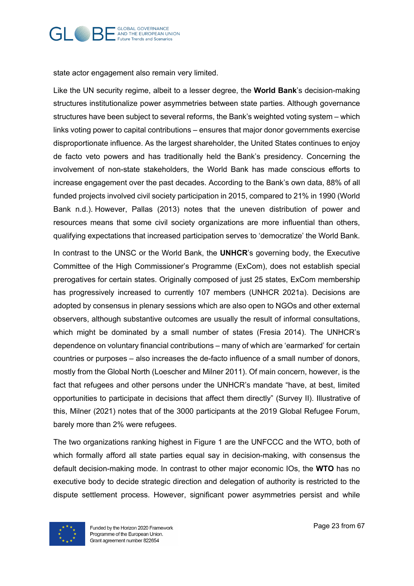

state actor engagement also remain very limited.

Like the UN security regime, albeit to a lesser degree, the **World Bank**'s decision-making structures institutionalize power asymmetries between state parties. Although governance structures have been subject to several reforms, the Bank's weighted voting system – which links voting power to capital contributions – ensures that major donor governments exercise disproportionate influence. As the largest shareholder, the United States continues to enjoy de facto veto powers and has traditionally held the Bank's presidency. Concerning the involvement of non-state stakeholders, the World Bank has made conscious efforts to increase engagement over the past decades. According to the Bank's own data, 88% of all funded projects involved civil society participation in 2015, compared to 21% in 1990 (World Bank n.d.). However, Pallas (2013) notes that the uneven distribution of power and resources means that some civil society organizations are more influential than others, qualifying expectations that increased participation serves to 'democratize' the World Bank.

In contrast to the UNSC or the World Bank, the **UNHCR**'s governing body, the Executive Committee of the High Commissioner's Programme (ExCom), does not establish special prerogatives for certain states. Originally composed of just 25 states, ExCom membership has progressively increased to currently 107 members (UNHCR 2021a). Decisions are adopted by consensus in plenary sessions which are also open to NGOs and other external observers, although substantive outcomes are usually the result of informal consultations, which might be dominated by a small number of states (Fresia 2014). The UNHCR's dependence on voluntary financial contributions – many of which are 'earmarked' for certain countries or purposes – also increases the de-facto influence of a small number of donors, mostly from the Global North (Loescher and Milner 2011). Of main concern, however, is the fact that refugees and other persons under the UNHCR's mandate "have, at best, limited opportunities to participate in decisions that affect them directly" (Survey II). Illustrative of this, Milner (2021) notes that of the 3000 participants at the 2019 Global Refugee Forum, barely more than 2% were refugees.

The two organizations ranking highest in Figure 1 are the UNFCCC and the WTO, both of which formally afford all state parties equal say in decision-making, with consensus the default decision-making mode. In contrast to other major economic IOs, the **WTO** has no executive body to decide strategic direction and delegation of authority is restricted to the dispute settlement process. However, significant power asymmetries persist and while

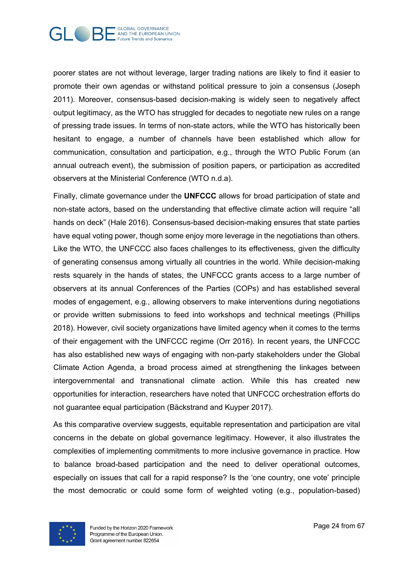

poorer states are not without leverage, larger trading nations are likely to find it easier to promote their own agendas or withstand political pressure to join a consensus (Joseph 2011). Moreover, consensus-based decision-making is widely seen to negatively affect output legitimacy, as the WTO has struggled for decades to negotiate new rules on a range of pressing trade issues. In terms of non-state actors, while the WTO has historically been hesitant to engage, a number of channels have been established which allow for communication, consultation and participation, e.g., through the WTO Public Forum (an annual outreach event), the submission of position papers, or participation as accredited observers at the Ministerial Conference (WTO n.d.a).

Finally, climate governance under the **UNFCCC** allows for broad participation of state and non-state actors, based on the understanding that effective climate action will require "all hands on deck" (Hale 2016). Consensus-based decision-making ensures that state parties have equal voting power, though some enjoy more leverage in the negotiations than others. Like the WTO, the UNFCCC also faces challenges to its effectiveness, given the difficulty of generating consensus among virtually all countries in the world. While decision-making rests squarely in the hands of states, the UNFCCC grants access to a large number of observers at its annual Conferences of the Parties (COPs) and has established several modes of engagement, e.g., allowing observers to make interventions during negotiations or provide written submissions to feed into workshops and technical meetings (Phillips 2018). However, civil society organizations have limited agency when it comes to the terms of their engagement with the UNFCCC regime (Orr 2016). In recent years, the UNFCCC has also established new ways of engaging with non-party stakeholders under the Global Climate Action Agenda, a broad process aimed at strengthening the linkages between intergovernmental and transnational climate action. While this has created new opportunities for interaction, researchers have noted that UNFCCC orchestration efforts do not guarantee equal participation (Bäckstrand and Kuyper 2017).

As this comparative overview suggests, equitable representation and participation are vital concerns in the debate on global governance legitimacy. However, it also illustrates the complexities of implementing commitments to more inclusive governance in practice. How to balance broad-based participation and the need to deliver operational outcomes, especially on issues that call for a rapid response? Is the 'one country, one vote' principle the most democratic or could some form of weighted voting (e.g., population-based)

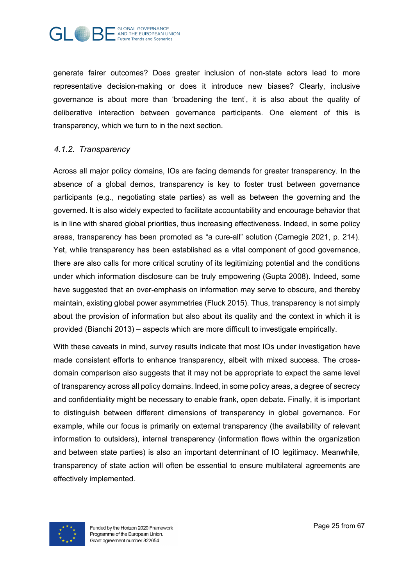

generate fairer outcomes? Does greater inclusion of non-state actors lead to more representative decision-making or does it introduce new biases? Clearly, inclusive governance is about more than 'broadening the tent', it is also about the quality of deliberative interaction between governance participants. One element of this is transparency, which we turn to in the next section.

#### *4.1.2. Transparency*

Across all major policy domains, IOs are facing demands for greater transparency. In the absence of a global demos, transparency is key to foster trust between governance participants (e.g., negotiating state parties) as well as between the governing and the governed. It is also widely expected to facilitate accountability and encourage behavior that is in line with shared global priorities, thus increasing effectiveness. Indeed, in some policy areas, transparency has been promoted as "a cure-all" solution (Carnegie 2021, p. 214). Yet, while transparency has been established as a vital component of good governance, there are also calls for more critical scrutiny of its legitimizing potential and the conditions under which information disclosure can be truly empowering (Gupta 2008). Indeed, some have suggested that an over-emphasis on information may serve to obscure, and thereby maintain, existing global power asymmetries (Fluck 2015). Thus, transparency is not simply about the provision of information but also about its quality and the context in which it is provided (Bianchi 2013) – aspects which are more difficult to investigate empirically.

With these caveats in mind, survey results indicate that most IOs under investigation have made consistent efforts to enhance transparency, albeit with mixed success. The crossdomain comparison also suggests that it may not be appropriate to expect the same level of transparency across all policy domains. Indeed, in some policy areas, a degree of secrecy and confidentiality might be necessary to enable frank, open debate. Finally, it is important to distinguish between different dimensions of transparency in global governance. For example, while our focus is primarily on external transparency (the availability of relevant information to outsiders), internal transparency (information flows within the organization and between state parties) is also an important determinant of IO legitimacy. Meanwhile, transparency of state action will often be essential to ensure multilateral agreements are effectively implemented.

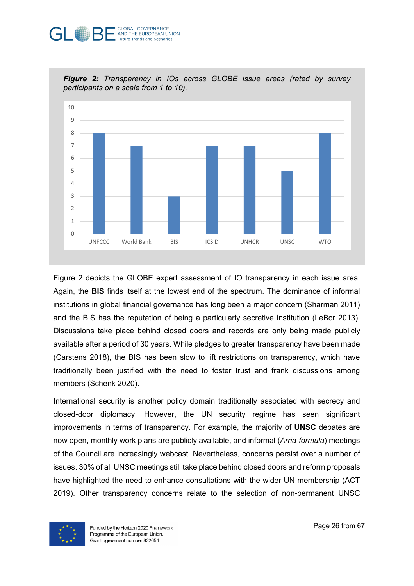#### **GLOBAL GOVERNANCE** AND THE EUROPEAN UNION **Future Trends and Scenarios**



*Figure 2: Transparency in IOs across GLOBE issue areas (rated by survey participants on a scale from 1 to 10).* 

Figure 2 depicts the GLOBE expert assessment of IO transparency in each issue area. Again, the **BIS** finds itself at the lowest end of the spectrum. The dominance of informal institutions in global financial governance has long been a major concern (Sharman 2011) and the BIS has the reputation of being a particularly secretive institution (LeBor 2013). Discussions take place behind closed doors and records are only being made publicly available after a period of 30 years. While pledges to greater transparency have been made (Carstens 2018), the BIS has been slow to lift restrictions on transparency, which have traditionally been justified with the need to foster trust and frank discussions among members (Schenk 2020).

International security is another policy domain traditionally associated with secrecy and closed-door diplomacy. However, the UN security regime has seen significant improvements in terms of transparency. For example, the majority of **UNSC** debates are now open, monthly work plans are publicly available, and informal (*Arria-formula*) meetings of the Council are increasingly webcast. Nevertheless, concerns persist over a number of issues. 30% of all UNSC meetings still take place behind closed doors and reform proposals have highlighted the need to enhance consultations with the wider UN membership (ACT 2019). Other transparency concerns relate to the selection of non-permanent UNSC

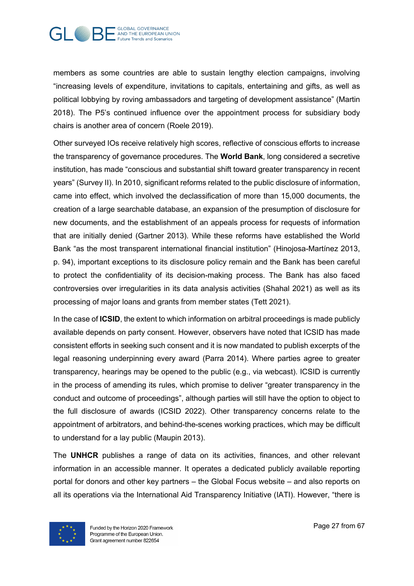

members as some countries are able to sustain lengthy election campaigns, involving "increasing levels of expenditure, invitations to capitals, entertaining and gifts, as well as political lobbying by roving ambassadors and targeting of development assistance" (Martin 2018). The P5's continued influence over the appointment process for subsidiary body chairs is another area of concern (Roele 2019).

Other surveyed IOs receive relatively high scores, reflective of conscious efforts to increase the transparency of governance procedures. The **World Bank**, long considered a secretive institution, has made "conscious and substantial shift toward greater transparency in recent years" (Survey II). In 2010, significant reforms related to the public disclosure of information, came into effect, which involved the declassification of more than 15,000 documents, the creation of a large searchable database, an expansion of the presumption of disclosure for new documents, and the establishment of an appeals process for requests of information that are initially denied (Gartner 2013). While these reforms have established the World Bank "as the most transparent international financial institution" (Hinojosa-Martínez 2013, p. 94), important exceptions to its disclosure policy remain and the Bank has been careful to protect the confidentiality of its decision-making process. The Bank has also faced controversies over irregularities in its data analysis activities (Shahal 2021) as well as its processing of major loans and grants from member states (Tett 2021).

In the case of **ICSID**, the extent to which information on arbitral proceedings is made publicly available depends on party consent. However, observers have noted that ICSID has made consistent efforts in seeking such consent and it is now mandated to publish excerpts of the legal reasoning underpinning every award (Parra 2014). Where parties agree to greater transparency, hearings may be opened to the public (e.g., via webcast). ICSID is currently in the process of amending its rules, which promise to deliver "greater transparency in the conduct and outcome of proceedings", although parties will still have the option to object to the full disclosure of awards (ICSID 2022). Other transparency concerns relate to the appointment of arbitrators, and behind-the-scenes working practices, which may be difficult to understand for a lay public (Maupin 2013).

The **UNHCR** publishes a range of data on its activities, finances, and other relevant information in an accessible manner. It operates a dedicated publicly available reporting portal for donors and other key partners – the Global Focus website – and also reports on all its operations via the International Aid Transparency Initiative (IATI). However, "there is

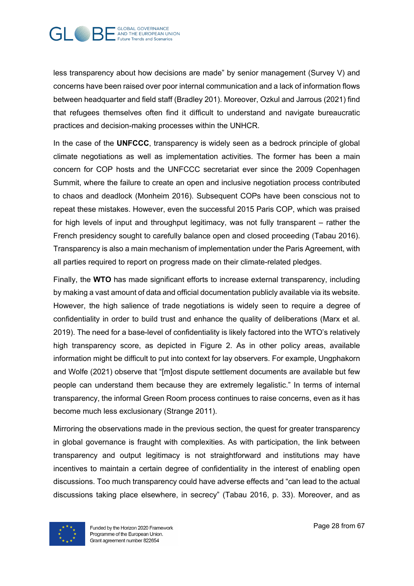

less transparency about how decisions are made" by senior management (Survey V) and concerns have been raised over poor internal communication and a lack of information flows between headquarter and field staff (Bradley 201). Moreover, Ozkul and Jarrous (2021) find that refugees themselves often find it difficult to understand and navigate bureaucratic practices and decision-making processes within the UNHCR.

In the case of the **UNFCCC**, transparency is widely seen as a bedrock principle of global climate negotiations as well as implementation activities. The former has been a main concern for COP hosts and the UNFCCC secretariat ever since the 2009 Copenhagen Summit, where the failure to create an open and inclusive negotiation process contributed to chaos and deadlock (Monheim 2016). Subsequent COPs have been conscious not to repeat these mistakes. However, even the successful 2015 Paris COP, which was praised for high levels of input and throughput legitimacy, was not fully transparent – rather the French presidency sought to carefully balance open and closed proceeding (Tabau 2016). Transparency is also a main mechanism of implementation under the Paris Agreement, with all parties required to report on progress made on their climate-related pledges.

Finally, the **WTO** has made significant efforts to increase external transparency, including by making a vast amount of data and official documentation publicly available via its website. However, the high salience of trade negotiations is widely seen to require a degree of confidentiality in order to build trust and enhance the quality of deliberations (Marx et al. 2019). The need for a base-level of confidentiality is likely factored into the WTO's relatively high transparency score, as depicted in Figure 2. As in other policy areas, available information might be difficult to put into context for lay observers. For example, Ungphakorn and Wolfe (2021) observe that "[m]ost dispute settlement documents are available but few people can understand them because they are extremely legalistic." In terms of internal transparency, the informal Green Room process continues to raise concerns, even as it has become much less exclusionary (Strange 2011).

Mirroring the observations made in the previous section, the quest for greater transparency in global governance is fraught with complexities. As with participation, the link between transparency and output legitimacy is not straightforward and institutions may have incentives to maintain a certain degree of confidentiality in the interest of enabling open discussions. Too much transparency could have adverse effects and "can lead to the actual discussions taking place elsewhere, in secrecy" (Tabau 2016, p. 33). Moreover, and as

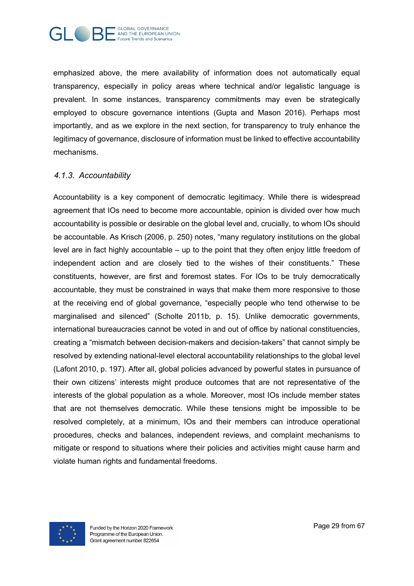

emphasized above, the mere availability of information does not automatically equal transparency, especially in policy areas where technical and/or legalistic language is prevalent. In some instances, transparency commitments may even be strategically employed to obscure governance intentions (Gupta and Mason 2016). Perhaps most importantly, and as we explore in the next section, for transparency to truly enhance the legitimacy of governance, disclosure of information must be linked to effective accountability mechanisms.

#### *4.1.3. Accountability*

Accountability is a key component of democratic legitimacy. While there is widespread agreement that IOs need to become more accountable, opinion is divided over how much accountability is possible or desirable on the global level and, crucially, to whom IOs should be accountable. As Krisch (2006, p. 250) notes, "many regulatory institutions on the global level are in fact highly accountable – up to the point that they often enjoy little freedom of independent action and are closely tied to the wishes of their constituents." These constituents, however, are first and foremost states. For IOs to be truly democratically accountable, they must be constrained in ways that make them more responsive to those at the receiving end of global governance, "especially people who tend otherwise to be marginalised and silenced" (Scholte 2011b, p. 15). Unlike democratic governments, international bureaucracies cannot be voted in and out of office by national constituencies, creating a "mismatch between decision-makers and decision-takers" that cannot simply be resolved by extending national-level electoral accountability relationships to the global level (Lafont 2010, p. 197). After all, global policies advanced by powerful states in pursuance of their own citizens' interests might produce outcomes that are not representative of the interests of the global population as a whole. Moreover, most IOs include member states that are not themselves democratic. While these tensions might be impossible to be resolved completely, at a minimum, IOs and their members can introduce operational procedures, checks and balances, independent reviews, and complaint mechanisms to mitigate or respond to situations where their policies and activities might cause harm and violate human rights and fundamental freedoms.

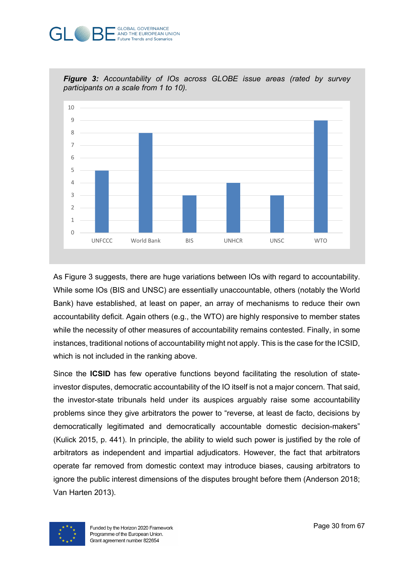#### **GLOBAL GOVERNANCE** AND THE EUROPEAN UNION **Future Trends and Scenarios**



*Figure 3: Accountability of IOs across GLOBE issue areas (rated by survey participants on a scale from 1 to 10).* 

As Figure 3 suggests, there are huge variations between IOs with regard to accountability. While some IOs (BIS and UNSC) are essentially unaccountable, others (notably the World Bank) have established, at least on paper, an array of mechanisms to reduce their own accountability deficit. Again others (e.g., the WTO) are highly responsive to member states while the necessity of other measures of accountability remains contested. Finally, in some instances, traditional notions of accountability might not apply. This is the case for the ICSID, which is not included in the ranking above.

Since the **ICSID** has few operative functions beyond facilitating the resolution of stateinvestor disputes, democratic accountability of the IO itself is not a major concern. That said, the investor-state tribunals held under its auspices arguably raise some accountability problems since they give arbitrators the power to "reverse, at least de facto, decisions by democratically legitimated and democratically accountable domestic decision-makers" (Kulick 2015, p. 441). In principle, the ability to wield such power is justified by the role of arbitrators as independent and impartial adjudicators. However, the fact that arbitrators operate far removed from domestic context may introduce biases, causing arbitrators to ignore the public interest dimensions of the disputes brought before them (Anderson 2018; Van Harten 2013).

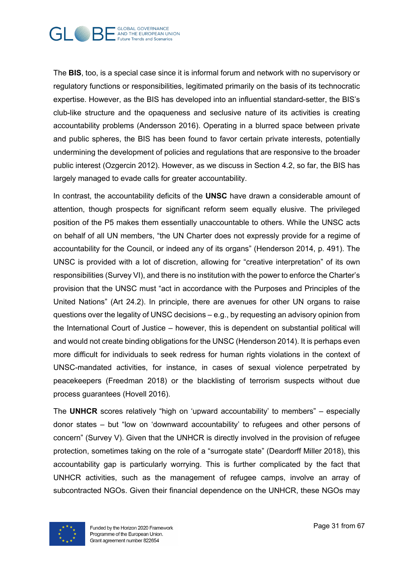

The **BIS**, too, is a special case since it is informal forum and network with no supervisory or regulatory functions or responsibilities, legitimated primarily on the basis of its technocratic expertise. However, as the BIS has developed into an influential standard-setter, the BIS's club-like structure and the opaqueness and seclusive nature of its activities is creating accountability problems (Andersson 2016). Operating in a blurred space between private and public spheres, the BIS has been found to favor certain private interests, potentially undermining the development of policies and regulations that are responsive to the broader public interest (Ozgercin 2012). However, as we discuss in Section 4.2, so far, the BIS has largely managed to evade calls for greater accountability.

In contrast, the accountability deficits of the **UNSC** have drawn a considerable amount of attention, though prospects for significant reform seem equally elusive. The privileged position of the P5 makes them essentially unaccountable to others. While the UNSC acts on behalf of all UN members, "the UN Charter does not expressly provide for a regime of accountability for the Council, or indeed any of its organs" (Henderson 2014, p. 491). The UNSC is provided with a lot of discretion, allowing for "creative interpretation" of its own responsibilities (Survey VI), and there is no institution with the power to enforce the Charter's provision that the UNSC must "act in accordance with the Purposes and Principles of the United Nations" (Art 24.2). In principle, there are avenues for other UN organs to raise questions over the legality of UNSC decisions – e.g., by requesting an advisory opinion from the International Court of Justice – however, this is dependent on substantial political will and would not create binding obligations for the UNSC (Henderson 2014). It is perhaps even more difficult for individuals to seek redress for human rights violations in the context of UNSC-mandated activities, for instance, in cases of sexual violence perpetrated by peacekeepers (Freedman 2018) or the blacklisting of terrorism suspects without due process guarantees (Hovell 2016).

The **UNHCR** scores relatively "high on 'upward accountability' to members" – especially donor states – but "low on 'downward accountability' to refugees and other persons of concern" (Survey V). Given that the UNHCR is directly involved in the provision of refugee protection, sometimes taking on the role of a "surrogate state" (Deardorff Miller 2018), this accountability gap is particularly worrying. This is further complicated by the fact that UNHCR activities, such as the management of refugee camps, involve an array of subcontracted NGOs. Given their financial dependence on the UNHCR, these NGOs may

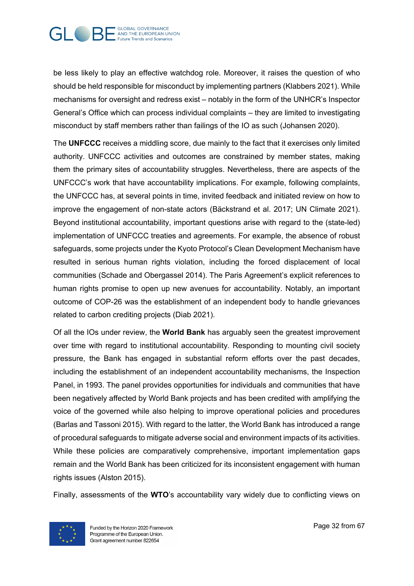

be less likely to play an effective watchdog role. Moreover, it raises the question of who should be held responsible for misconduct by implementing partners (Klabbers 2021). While mechanisms for oversight and redress exist – notably in the form of the UNHCR's Inspector General's Office which can process individual complaints – they are limited to investigating misconduct by staff members rather than failings of the IO as such (Johansen 2020).

The **UNFCCC** receives a middling score, due mainly to the fact that it exercises only limited authority. UNFCCC activities and outcomes are constrained by member states, making them the primary sites of accountability struggles. Nevertheless, there are aspects of the UNFCCC's work that have accountability implications. For example, following complaints, the UNFCCC has, at several points in time, invited feedback and initiated review on how to improve the engagement of non-state actors (Bäckstrand et al. 2017; UN Climate 2021). Beyond institutional accountability, important questions arise with regard to the (state-led) implementation of UNFCCC treaties and agreements. For example, the absence of robust safeguards, some projects under the Kyoto Protocol's Clean Development Mechanism have resulted in serious human rights violation, including the forced displacement of local communities (Schade and Obergassel 2014). The Paris Agreement's explicit references to human rights promise to open up new avenues for accountability. Notably, an important outcome of COP-26 was the establishment of an independent body to handle grievances related to carbon crediting projects (Diab 2021).

Of all the IOs under review, the **World Bank** has arguably seen the greatest improvement over time with regard to institutional accountability. Responding to mounting civil society pressure, the Bank has engaged in substantial reform efforts over the past decades, including the establishment of an independent accountability mechanisms, the Inspection Panel, in 1993. The panel provides opportunities for individuals and communities that have been negatively affected by World Bank projects and has been credited with amplifying the voice of the governed while also helping to improve operational policies and procedures (Barlas and Tassoni 2015). With regard to the latter, the World Bank has introduced a range of procedural safeguards to mitigate adverse social and environment impacts of its activities. While these policies are comparatively comprehensive, important implementation gaps remain and the World Bank has been criticized for its inconsistent engagement with human rights issues (Alston 2015).

Finally, assessments of the **WTO**'s accountability vary widely due to conflicting views on

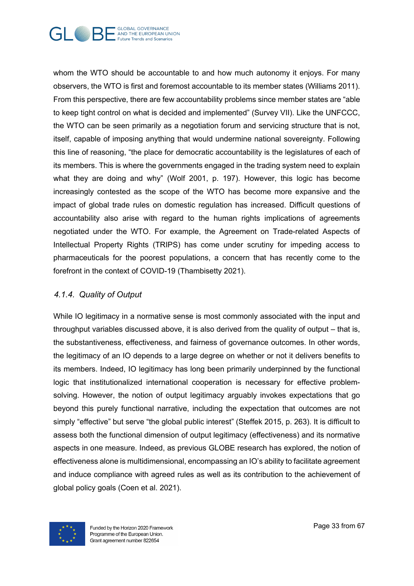

whom the WTO should be accountable to and how much autonomy it enjoys. For many observers, the WTO is first and foremost accountable to its member states (Williams 2011). From this perspective, there are few accountability problems since member states are "able to keep tight control on what is decided and implemented" (Survey VII). Like the UNFCCC, the WTO can be seen primarily as a negotiation forum and servicing structure that is not, itself, capable of imposing anything that would undermine national sovereignty. Following this line of reasoning, "the place for democratic accountability is the legislatures of each of its members. This is where the governments engaged in the trading system need to explain what they are doing and why" (Wolf 2001, p. 197). However, this logic has become increasingly contested as the scope of the WTO has become more expansive and the impact of global trade rules on domestic regulation has increased. Difficult questions of accountability also arise with regard to the human rights implications of agreements negotiated under the WTO. For example, the Agreement on Trade-related Aspects of Intellectual Property Rights (TRIPS) has come under scrutiny for impeding access to pharmaceuticals for the poorest populations, a concern that has recently come to the forefront in the context of COVID-19 (Thambisetty 2021).

#### *4.1.4. Quality of Output*

While IO legitimacy in a normative sense is most commonly associated with the input and throughput variables discussed above, it is also derived from the quality of output – that is, the substantiveness, effectiveness, and fairness of governance outcomes. In other words, the legitimacy of an IO depends to a large degree on whether or not it delivers benefits to its members. Indeed, IO legitimacy has long been primarily underpinned by the functional logic that institutionalized international cooperation is necessary for effective problemsolving. However, the notion of output legitimacy arguably invokes expectations that go beyond this purely functional narrative, including the expectation that outcomes are not simply "effective" but serve "the global public interest" (Steffek 2015, p. 263). It is difficult to assess both the functional dimension of output legitimacy (effectiveness) and its normative aspects in one measure. Indeed, as previous GLOBE research has explored, the notion of effectiveness alone is multidimensional, encompassing an IO's ability to facilitate agreement and induce compliance with agreed rules as well as its contribution to the achievement of global policy goals (Coen et al. 2021).

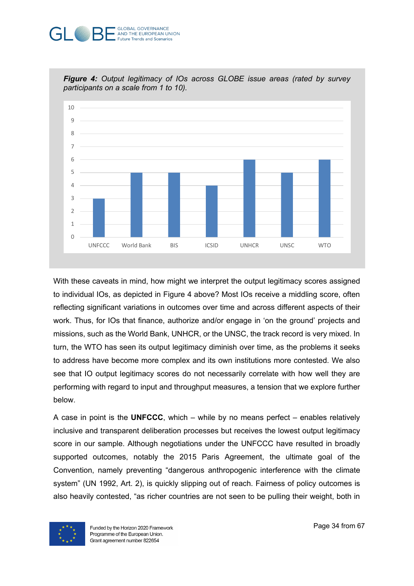#### **GLOBAL GOVERNANCE** AND THE EUROPEAN UNION **Future Trends and Scenarios**



*Figure 4: Output legitimacy of IOs across GLOBE issue areas (rated by survey participants on a scale from 1 to 10).* 

With these caveats in mind, how might we interpret the output legitimacy scores assigned to individual IOs, as depicted in Figure 4 above? Most IOs receive a middling score, often reflecting significant variations in outcomes over time and across different aspects of their work. Thus, for IOs that finance, authorize and/or engage in 'on the ground' projects and missions, such as the World Bank, UNHCR, or the UNSC, the track record is very mixed. In turn, the WTO has seen its output legitimacy diminish over time, as the problems it seeks to address have become more complex and its own institutions more contested. We also see that IO output legitimacy scores do not necessarily correlate with how well they are performing with regard to input and throughput measures, a tension that we explore further below.

A case in point is the **UNFCCC**, which – while by no means perfect – enables relatively inclusive and transparent deliberation processes but receives the lowest output legitimacy score in our sample. Although negotiations under the UNFCCC have resulted in broadly supported outcomes, notably the 2015 Paris Agreement, the ultimate goal of the Convention, namely preventing "dangerous anthropogenic interference with the climate system" (UN 1992, Art. 2), is quickly slipping out of reach. Fairness of policy outcomes is also heavily contested, "as richer countries are not seen to be pulling their weight, both in

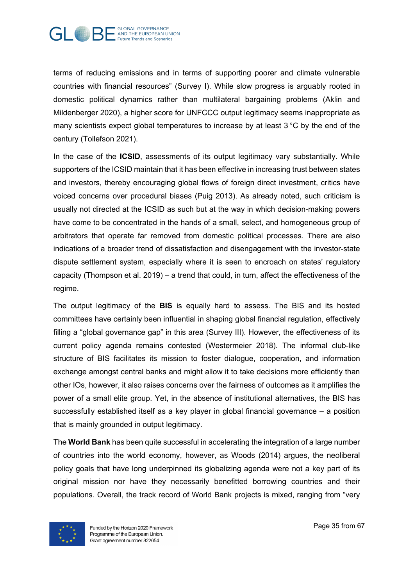

terms of reducing emissions and in terms of supporting poorer and climate vulnerable countries with financial resources" (Survey I). While slow progress is arguably rooted in domestic political dynamics rather than multilateral bargaining problems (Aklin and Mildenberger 2020), a higher score for UNFCCC output legitimacy seems inappropriate as many scientists expect global temperatures to increase by at least 3 °C by the end of the century (Tollefson 2021).

In the case of the **ICSID**, assessments of its output legitimacy vary substantially. While supporters of the ICSID maintain that it has been effective in increasing trust between states and investors, thereby encouraging global flows of foreign direct investment, critics have voiced concerns over procedural biases (Puig 2013). As already noted, such criticism is usually not directed at the ICSID as such but at the way in which decision-making powers have come to be concentrated in the hands of a small, select, and homogeneous group of arbitrators that operate far removed from domestic political processes. There are also indications of a broader trend of dissatisfaction and disengagement with the investor-state dispute settlement system, especially where it is seen to encroach on states' regulatory capacity (Thompson et al. 2019) – a trend that could, in turn, affect the effectiveness of the regime.

The output legitimacy of the **BIS** is equally hard to assess. The BIS and its hosted committees have certainly been influential in shaping global financial regulation, effectively filling a "global governance gap" in this area (Survey III). However, the effectiveness of its current policy agenda remains contested (Westermeier 2018). The informal club-like structure of BIS facilitates its mission to foster dialogue, cooperation, and information exchange amongst central banks and might allow it to take decisions more efficiently than other IOs, however, it also raises concerns over the fairness of outcomes as it amplifies the power of a small elite group. Yet, in the absence of institutional alternatives, the BIS has successfully established itself as a key player in global financial governance – a position that is mainly grounded in output legitimacy.

The **World Bank** has been quite successful in accelerating the integration of a large number of countries into the world economy, however, as Woods (2014) argues, the neoliberal policy goals that have long underpinned its globalizing agenda were not a key part of its original mission nor have they necessarily benefitted borrowing countries and their populations. Overall, the track record of World Bank projects is mixed, ranging from "very

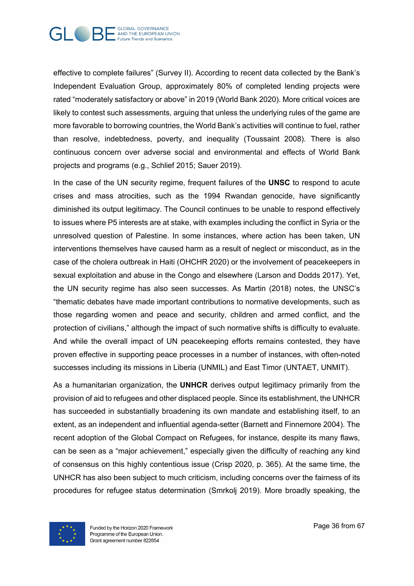

effective to complete failures" (Survey II). According to recent data collected by the Bank's Independent Evaluation Group, approximately 80% of completed lending projects were rated "moderately satisfactory or above" in 2019 (World Bank 2020). More critical voices are likely to contest such assessments, arguing that unless the underlying rules of the game are more favorable to borrowing countries, the World Bank's activities will continue to fuel, rather than resolve, indebtedness, poverty, and inequality (Toussaint 2008). There is also continuous concern over adverse social and environmental and effects of World Bank projects and programs (e.g., Schlief 2015; Sauer 2019).

In the case of the UN security regime, frequent failures of the **UNSC** to respond to acute crises and mass atrocities, such as the 1994 Rwandan genocide, have significantly diminished its output legitimacy. The Council continues to be unable to respond effectively to issues where P5 interests are at stake, with examples including the conflict in Syria or the unresolved question of Palestine. In some instances, where action has been taken, UN interventions themselves have caused harm as a result of neglect or misconduct, as in the case of the cholera outbreak in Haiti (OHCHR 2020) or the involvement of peacekeepers in sexual exploitation and abuse in the Congo and elsewhere (Larson and Dodds 2017). Yet, the UN security regime has also seen successes. As Martin (2018) notes, the UNSC's "thematic debates have made important contributions to normative developments, such as those regarding women and peace and security, children and armed conflict, and the protection of civilians," although the impact of such normative shifts is difficulty to evaluate. And while the overall impact of UN peacekeeping efforts remains contested, they have proven effective in supporting peace processes in a number of instances, with often-noted successes including its missions in Liberia (UNMIL) and East Timor (UNTAET, UNMIT).

As a humanitarian organization, the **UNHCR** derives output legitimacy primarily from the provision of aid to refugees and other displaced people. Since its establishment, the UNHCR has succeeded in substantially broadening its own mandate and establishing itself, to an extent, as an independent and influential agenda-setter (Barnett and Finnemore 2004). The recent adoption of the Global Compact on Refugees, for instance, despite its many flaws, can be seen as a "major achievement," especially given the difficulty of reaching any kind of consensus on this highly contentious issue (Crisp 2020, p. 365). At the same time, the UNHCR has also been subject to much criticism, including concerns over the fairness of its procedures for refugee status determination (Smrkolj 2019). More broadly speaking, the

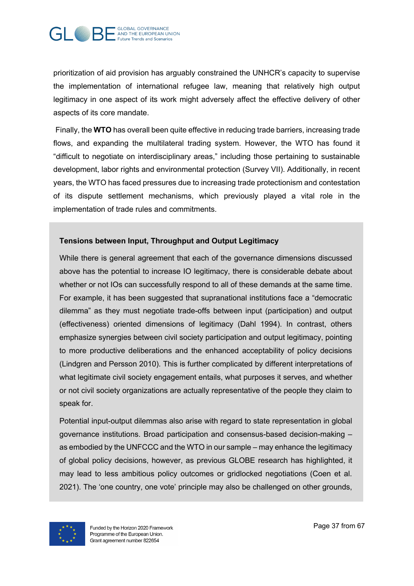

prioritization of aid provision has arguably constrained the UNHCR's capacity to supervise the implementation of international refugee law, meaning that relatively high output legitimacy in one aspect of its work might adversely affect the effective delivery of other aspects of its core mandate.

Finally, the **WTO** has overall been quite effective in reducing trade barriers, increasing trade flows, and expanding the multilateral trading system. However, the WTO has found it "difficult to negotiate on interdisciplinary areas," including those pertaining to sustainable development, labor rights and environmental protection (Survey VII). Additionally, in recent years, the WTO has faced pressures due to increasing trade protectionism and contestation of its dispute settlement mechanisms, which previously played a vital role in the implementation of trade rules and commitments.

#### **Tensions between Input, Throughput and Output Legitimacy**

While there is general agreement that each of the governance dimensions discussed above has the potential to increase IO legitimacy, there is considerable debate about whether or not IOs can successfully respond to all of these demands at the same time. For example, it has been suggested that supranational institutions face a "democratic dilemma" as they must negotiate trade-offs between input (participation) and output (effectiveness) oriented dimensions of legitimacy (Dahl 1994). In contrast, others emphasize synergies between civil society participation and output legitimacy, pointing to more productive deliberations and the enhanced acceptability of policy decisions (Lindgren and Persson 2010). This is further complicated by different interpretations of what legitimate civil society engagement entails, what purposes it serves, and whether or not civil society organizations are actually representative of the people they claim to speak for.

Potential input-output dilemmas also arise with regard to state representation in global governance institutions. Broad participation and consensus-based decision-making – as embodied by the UNFCCC and the WTO in our sample – may enhance the legitimacy of global policy decisions, however, as previous GLOBE research has highlighted, it may lead to less ambitious policy outcomes or gridlocked negotiations (Coen et al. 2021). The 'one country, one vote' principle may also be challenged on other grounds,

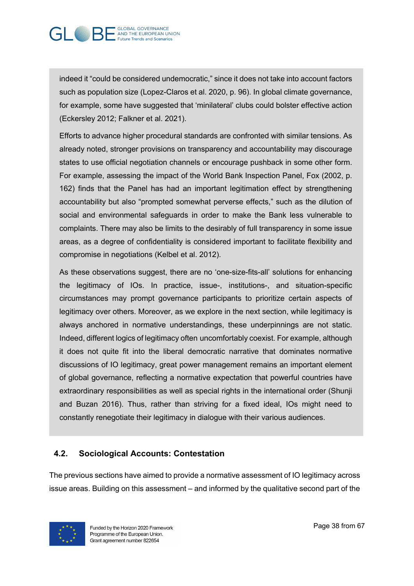

indeed it "could be considered undemocratic," since it does not take into account factors such as population size (Lopez-Claros et al. 2020, p. 96). In global climate governance, for example, some have suggested that 'minilateral' clubs could bolster effective action (Eckersley 2012; Falkner et al. 2021).

Efforts to advance higher procedural standards are confronted with similar tensions. As already noted, stronger provisions on transparency and accountability may discourage states to use official negotiation channels or encourage pushback in some other form. For example, assessing the impact of the World Bank Inspection Panel, Fox (2002, p. 162) finds that the Panel has had an important legitimation effect by strengthening accountability but also "prompted somewhat perverse effects," such as the dilution of social and environmental safeguards in order to make the Bank less vulnerable to complaints. There may also be limits to the desirably of full transparency in some issue areas, as a degree of confidentiality is considered important to facilitate flexibility and compromise in negotiations (Kelbel et al. 2012).

As these observations suggest, there are no 'one-size-fits-all' solutions for enhancing the legitimacy of IOs. In practice, issue-, institutions-, and situation-specific circumstances may prompt governance participants to prioritize certain aspects of legitimacy over others. Moreover, as we explore in the next section, while legitimacy is always anchored in normative understandings, these underpinnings are not static. Indeed, different logics of legitimacy often uncomfortably coexist. For example, although it does not quite fit into the liberal democratic narrative that dominates normative discussions of IO legitimacy, great power management remains an important element of global governance, reflecting a normative expectation that powerful countries have extraordinary responsibilities as well as special rights in the international order (Shunji and Buzan 2016). Thus, rather than striving for a fixed ideal, IOs might need to constantly renegotiate their legitimacy in dialogue with their various audiences.

#### **4.2. Sociological Accounts: Contestation**

The previous sections have aimed to provide a normative assessment of IO legitimacy across issue areas. Building on this assessment – and informed by the qualitative second part of the

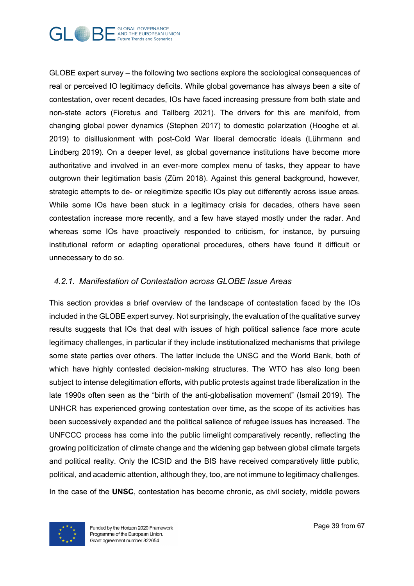

GLOBE expert survey – the following two sections explore the sociological consequences of real or perceived IO legitimacy deficits. While global governance has always been a site of contestation, over recent decades, IOs have faced increasing pressure from both state and non-state actors (Fioretus and Tallberg 2021). The drivers for this are manifold, from changing global power dynamics (Stephen 2017) to domestic polarization (Hooghe et al. 2019) to disillusionment with post-Cold War liberal democratic ideals (Lührmann and Lindberg 2019). On a deeper level, as global governance institutions have become more authoritative and involved in an ever-more complex menu of tasks, they appear to have outgrown their legitimation basis (Zürn 2018). Against this general background, however, strategic attempts to de- or relegitimize specific IOs play out differently across issue areas. While some IOs have been stuck in a legitimacy crisis for decades, others have seen contestation increase more recently, and a few have stayed mostly under the radar. And whereas some IOs have proactively responded to criticism, for instance, by pursuing institutional reform or adapting operational procedures, others have found it difficult or unnecessary to do so.

#### *4.2.1. Manifestation of Contestation across GLOBE Issue Areas*

This section provides a brief overview of the landscape of contestation faced by the IOs included in the GLOBE expert survey. Not surprisingly, the evaluation of the qualitative survey results suggests that IOs that deal with issues of high political salience face more acute legitimacy challenges, in particular if they include institutionalized mechanisms that privilege some state parties over others. The latter include the UNSC and the World Bank, both of which have highly contested decision-making structures. The WTO has also long been subject to intense delegitimation efforts, with public protests against trade liberalization in the late 1990s often seen as the "birth of the anti-globalisation movement" (Ismail 2019). The UNHCR has experienced growing contestation over time, as the scope of its activities has been successively expanded and the political salience of refugee issues has increased. The UNFCCC process has come into the public limelight comparatively recently, reflecting the growing politicization of climate change and the widening gap between global climate targets and political reality. Only the ICSID and the BIS have received comparatively little public, political, and academic attention, although they, too, are not immune to legitimacy challenges.

In the case of the **UNSC**, contestation has become chronic, as civil society, middle powers

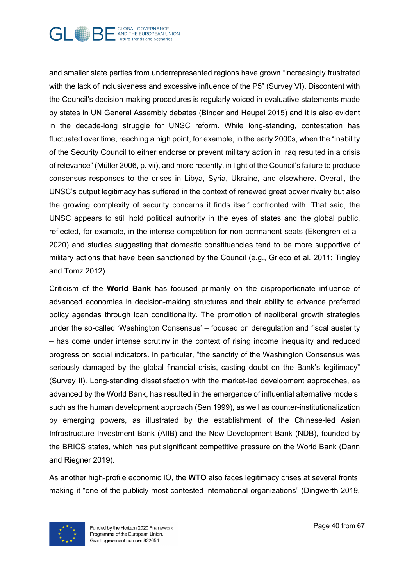

and smaller state parties from underrepresented regions have grown "increasingly frustrated with the lack of inclusiveness and excessive influence of the P5" (Survey VI). Discontent with the Council's decision-making procedures is regularly voiced in evaluative statements made by states in UN General Assembly debates (Binder and Heupel 2015) and it is also evident in the decade-long struggle for UNSC reform. While long-standing, contestation has fluctuated over time, reaching a high point, for example, in the early 2000s, when the "inability of the Security Council to either endorse or prevent military action in Iraq resulted in a crisis of relevance" (Müller 2006, p. vii), and more recently, in light of the Council's failure to produce consensus responses to the crises in Libya, Syria, Ukraine, and elsewhere. Overall, the UNSC's output legitimacy has suffered in the context of renewed great power rivalry but also the growing complexity of security concerns it finds itself confronted with. That said, the UNSC appears to still hold political authority in the eyes of states and the global public, reflected, for example, in the intense competition for non-permanent seats (Ekengren et al. 2020) and studies suggesting that domestic constituencies tend to be more supportive of military actions that have been sanctioned by the Council (e.g., Grieco et al. 2011; Tingley and Tomz 2012).

Criticism of the **World Bank** has focused primarily on the disproportionate influence of advanced economies in decision-making structures and their ability to advance preferred policy agendas through loan conditionality. The promotion of neoliberal growth strategies under the so-called 'Washington Consensus' – focused on deregulation and fiscal austerity – has come under intense scrutiny in the context of rising income inequality and reduced progress on social indicators. In particular, "the sanctity of the Washington Consensus was seriously damaged by the global financial crisis, casting doubt on the Bank's legitimacy" (Survey II). Long-standing dissatisfaction with the market-led development approaches, as advanced by the World Bank, has resulted in the emergence of influential alternative models, such as the human development approach (Sen 1999), as well as counter-institutionalization by emerging powers, as illustrated by the establishment of the Chinese-led Asian Infrastructure Investment Bank (AIIB) and the New Development Bank (NDB), founded by the BRICS states, which has put significant competitive pressure on the World Bank (Dann and Riegner 2019).

As another high-profile economic IO, the **WTO** also faces legitimacy crises at several fronts, making it "one of the publicly most contested international organizations" (Dingwerth 2019,

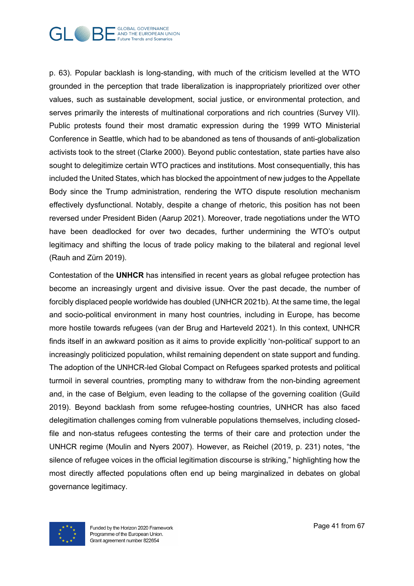

p. 63). Popular backlash is long-standing, with much of the criticism levelled at the WTO grounded in the perception that trade liberalization is inappropriately prioritized over other values, such as sustainable development, social justice, or environmental protection, and serves primarily the interests of multinational corporations and rich countries (Survey VII). Public protests found their most dramatic expression during the 1999 WTO Ministerial Conference in Seattle, which had to be abandoned as tens of thousands of anti-globalization activists took to the street (Clarke 2000). Beyond public contestation, state parties have also sought to delegitimize certain WTO practices and institutions. Most consequentially, this has included the United States, which has blocked the appointment of new judges to the Appellate Body since the Trump administration, rendering the WTO dispute resolution mechanism effectively dysfunctional. Notably, despite a change of rhetoric, this position has not been reversed under President Biden (Aarup 2021). Moreover, trade negotiations under the WTO have been deadlocked for over two decades, further undermining the WTO's output legitimacy and shifting the locus of trade policy making to the bilateral and regional level (Rauh and Zürn 2019).

Contestation of the **UNHCR** has intensified in recent years as global refugee protection has become an increasingly urgent and divisive issue. Over the past decade, the number of forcibly displaced people worldwide has doubled (UNHCR 2021b). At the same time, the legal and socio-political environment in many host countries, including in Europe, has become more hostile towards refugees (van der Brug and Harteveld 2021). In this context, UNHCR finds itself in an awkward position as it aims to provide explicitly 'non-political' support to an increasingly politicized population, whilst remaining dependent on state support and funding. The adoption of the UNHCR-led Global Compact on Refugees sparked protests and political turmoil in several countries, prompting many to withdraw from the non-binding agreement and, in the case of Belgium, even leading to the collapse of the governing coalition (Guild 2019). Beyond backlash from some refugee-hosting countries, UNHCR has also faced delegitimation challenges coming from vulnerable populations themselves, including closedfile and non-status refugees contesting the terms of their care and protection under the UNHCR regime (Moulin and Nyers 2007). However, as Reichel (2019, p. 231) notes, "the silence of refugee voices in the official legitimation discourse is striking," highlighting how the most directly affected populations often end up being marginalized in debates on global governance legitimacy.

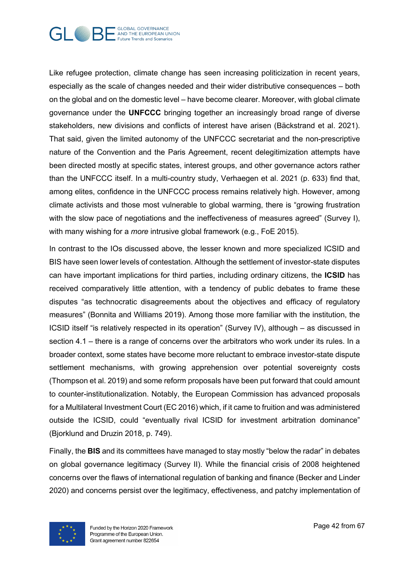

Like refugee protection, climate change has seen increasing politicization in recent years, especially as the scale of changes needed and their wider distributive consequences – both on the global and on the domestic level – have become clearer. Moreover, with global climate governance under the **UNFCCC** bringing together an increasingly broad range of diverse stakeholders, new divisions and conflicts of interest have arisen (Bäckstrand et al. 2021). That said, given the limited autonomy of the UNFCCC secretariat and the non-prescriptive nature of the Convention and the Paris Agreement, recent delegitimization attempts have been directed mostly at specific states, interest groups, and other governance actors rather than the UNFCCC itself. In a multi-country study, Verhaegen et al. 2021 (p. 633) find that, among elites, confidence in the UNFCCC process remains relatively high. However, among climate activists and those most vulnerable to global warming, there is "growing frustration with the slow pace of negotiations and the ineffectiveness of measures agreed" (Survey I), with many wishing for a *more* intrusive global framework (e.g., FoE 2015).

In contrast to the IOs discussed above, the lesser known and more specialized ICSID and BIS have seen lower levels of contestation. Although the settlement of investor-state disputes can have important implications for third parties, including ordinary citizens, the **ICSID** has received comparatively little attention, with a tendency of public debates to frame these disputes "as technocratic disagreements about the objectives and efficacy of regulatory measures" (Bonnita and Williams 2019). Among those more familiar with the institution, the ICSID itself "is relatively respected in its operation" (Survey IV), although – as discussed in section 4.1 – there is a range of concerns over the arbitrators who work under its rules. In a broader context, some states have become more reluctant to embrace investor-state dispute settlement mechanisms, with growing apprehension over potential sovereignty costs (Thompson et al. 2019) and some reform proposals have been put forward that could amount to counter-institutionalization. Notably, the European Commission has advanced proposals for a Multilateral Investment Court (EC 2016) which, if it came to fruition and was administered outside the ICSID, could "eventually rival ICSID for investment arbitration dominance" (Bjorklund and Druzin 2018, p. 749).

Finally, the **BIS** and its committees have managed to stay mostly "below the radar" in debates on global governance legitimacy (Survey II). While the financial crisis of 2008 heightened concerns over the flaws of international regulation of banking and finance (Becker and Linder 2020) and concerns persist over the legitimacy, effectiveness, and patchy implementation of

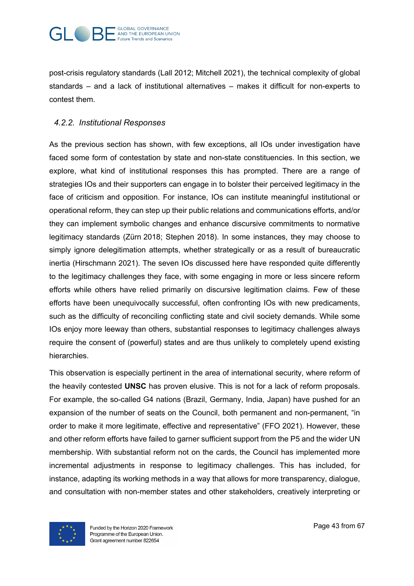

post-crisis regulatory standards (Lall 2012; Mitchell 2021), the technical complexity of global standards – and a lack of institutional alternatives – makes it difficult for non-experts to contest them.

#### *4.2.2. Institutional Responses*

As the previous section has shown, with few exceptions, all IOs under investigation have faced some form of contestation by state and non-state constituencies. In this section, we explore, what kind of institutional responses this has prompted. There are a range of strategies IOs and their supporters can engage in to bolster their perceived legitimacy in the face of criticism and opposition. For instance, IOs can institute meaningful institutional or operational reform, they can step up their public relations and communications efforts, and/or they can implement symbolic changes and enhance discursive commitments to normative legitimacy standards (Zürn 2018; Stephen 2018). In some instances, they may choose to simply ignore delegitimation attempts, whether strategically or as a result of bureaucratic inertia (Hirschmann 2021). The seven IOs discussed here have responded quite differently to the legitimacy challenges they face, with some engaging in more or less sincere reform efforts while others have relied primarily on discursive legitimation claims. Few of these efforts have been unequivocally successful, often confronting IOs with new predicaments, such as the difficulty of reconciling conflicting state and civil society demands. While some IOs enjoy more leeway than others, substantial responses to legitimacy challenges always require the consent of (powerful) states and are thus unlikely to completely upend existing hierarchies.

This observation is especially pertinent in the area of international security, where reform of the heavily contested **UNSC** has proven elusive. This is not for a lack of reform proposals. For example, the so-called G4 nations (Brazil, Germany, India, Japan) have pushed for an expansion of the number of seats on the Council, both permanent and non-permanent, "in order to make it more legitimate, effective and representative" (FFO 2021). However, these and other reform efforts have failed to garner sufficient support from the P5 and the wider UN membership. With substantial reform not on the cards, the Council has implemented more incremental adjustments in response to legitimacy challenges. This has included, for instance, adapting its working methods in a way that allows for more transparency, dialogue, and consultation with non-member states and other stakeholders, creatively interpreting or

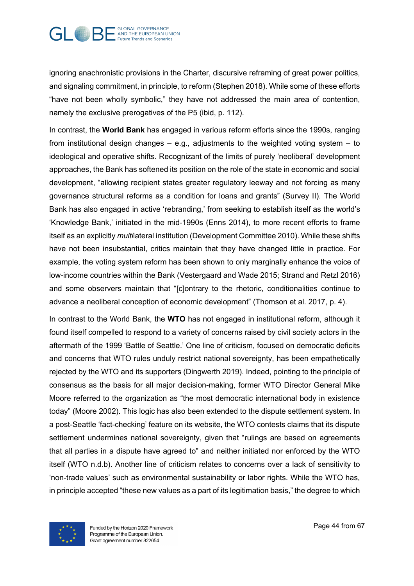

ignoring anachronistic provisions in the Charter, discursive reframing of great power politics, and signaling commitment, in principle, to reform (Stephen 2018). While some of these efforts "have not been wholly symbolic," they have not addressed the main area of contention, namely the exclusive prerogatives of the P5 (ibid, p. 112).

In contrast, the **World Bank** has engaged in various reform efforts since the 1990s, ranging from institutional design changes – e.g., adjustments to the weighted voting system – to ideological and operative shifts. Recognizant of the limits of purely 'neoliberal' development approaches, the Bank has softened its position on the role of the state in economic and social development, "allowing recipient states greater regulatory leeway and not forcing as many governance structural reforms as a condition for loans and grants" (Survey II). The World Bank has also engaged in active 'rebranding,' from seeking to establish itself as the world's 'Knowledge Bank,' initiated in the mid-1990s (Enns 2014), to more recent efforts to frame itself as an explicitly *multi*lateral institution (Development Committee 2010). While these shifts have not been insubstantial, critics maintain that they have changed little in practice. For example, the voting system reform has been shown to only marginally enhance the voice of low-income countries within the Bank (Vestergaard and Wade 2015; Strand and Retzl 2016) and some observers maintain that "[c]ontrary to the rhetoric, conditionalities continue to advance a neoliberal conception of economic development" (Thomson et al. 2017, p. 4).

In contrast to the World Bank, the **WTO** has not engaged in institutional reform, although it found itself compelled to respond to a variety of concerns raised by civil society actors in the aftermath of the 1999 'Battle of Seattle.' One line of criticism, focused on democratic deficits and concerns that WTO rules unduly restrict national sovereignty, has been empathetically rejected by the WTO and its supporters (Dingwerth 2019). Indeed, pointing to the principle of consensus as the basis for all major decision-making, former WTO Director General Mike Moore referred to the organization as "the most democratic international body in existence today" (Moore 2002). This logic has also been extended to the dispute settlement system. In a post-Seattle 'fact-checking' feature on its website, the WTO contests claims that its dispute settlement undermines national sovereignty, given that "rulings are based on agreements that all parties in a dispute have agreed to" and neither initiated nor enforced by the WTO itself (WTO n.d.b). Another line of criticism relates to concerns over a lack of sensitivity to 'non-trade values' such as environmental sustainability or labor rights. While the WTO has, in principle accepted "these new values as a part of its legitimation basis," the degree to which

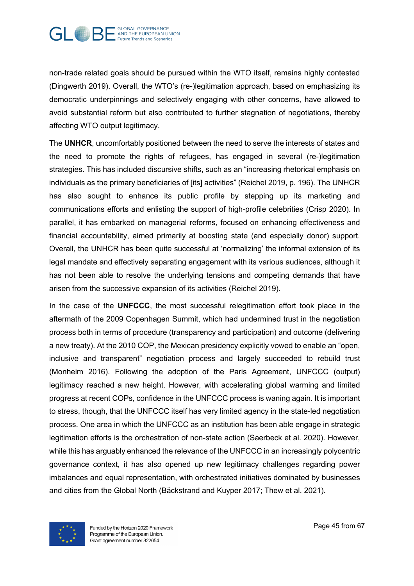

non-trade related goals should be pursued within the WTO itself, remains highly contested (Dingwerth 2019). Overall, the WTO's (re-)legitimation approach, based on emphasizing its democratic underpinnings and selectively engaging with other concerns, have allowed to avoid substantial reform but also contributed to further stagnation of negotiations, thereby affecting WTO output legitimacy.

The **UNHCR**, uncomfortably positioned between the need to serve the interests of states and the need to promote the rights of refugees, has engaged in several (re-)legitimation strategies. This has included discursive shifts, such as an "increasing rhetorical emphasis on individuals as the primary beneficiaries of [its] activities" (Reichel 2019, p. 196). The UNHCR has also sought to enhance its public profile by stepping up its marketing and communications efforts and enlisting the support of high-profile celebrities (Crisp 2020). In parallel, it has embarked on managerial reforms, focused on enhancing effectiveness and financial accountability, aimed primarily at boosting state (and especially donor) support. Overall, the UNHCR has been quite successful at 'normalizing' the informal extension of its legal mandate and effectively separating engagement with its various audiences, although it has not been able to resolve the underlying tensions and competing demands that have arisen from the successive expansion of its activities (Reichel 2019).

In the case of the **UNFCCC**, the most successful relegitimation effort took place in the aftermath of the 2009 Copenhagen Summit, which had undermined trust in the negotiation process both in terms of procedure (transparency and participation) and outcome (delivering a new treaty). At the 2010 COP, the Mexican presidency explicitly vowed to enable an "open, inclusive and transparent" negotiation process and largely succeeded to rebuild trust (Monheim 2016). Following the adoption of the Paris Agreement, UNFCCC (output) legitimacy reached a new height. However, with accelerating global warming and limited progress at recent COPs, confidence in the UNFCCC process is waning again. It is important to stress, though, that the UNFCCC itself has very limited agency in the state-led negotiation process. One area in which the UNFCCC as an institution has been able engage in strategic legitimation efforts is the orchestration of non-state action (Saerbeck et al. 2020). However, while this has arguably enhanced the relevance of the UNFCCC in an increasingly polycentric governance context, it has also opened up new legitimacy challenges regarding power imbalances and equal representation, with orchestrated initiatives dominated by businesses and cities from the Global North (Bäckstrand and Kuyper 2017; Thew et al. 2021).

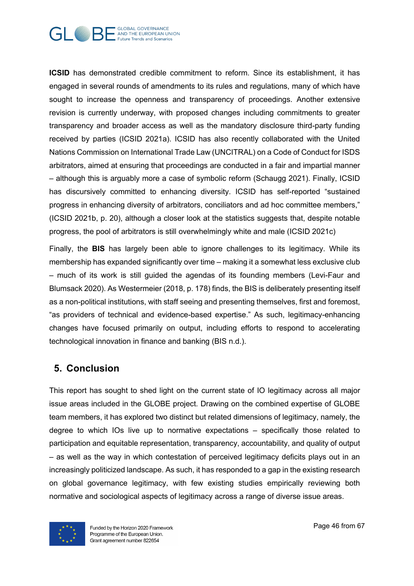

**ICSID** has demonstrated credible commitment to reform. Since its establishment, it has engaged in several rounds of amendments to its rules and regulations, many of which have sought to increase the openness and transparency of proceedings. Another extensive revision is currently underway, with proposed changes including commitments to greater transparency and broader access as well as the mandatory disclosure third-party funding received by parties (ICSID 2021a). ICSID has also recently collaborated with the United Nations Commission on International Trade Law (UNCITRAL) on a Code of Conduct for ISDS arbitrators, aimed at ensuring that proceedings are conducted in a fair and impartial manner – although this is arguably more a case of symbolic reform (Schaugg 2021). Finally, ICSID has discursively committed to enhancing diversity. ICSID has self-reported "sustained progress in enhancing diversity of arbitrators, conciliators and ad hoc committee members," (ICSID 2021b, p. 20), although a closer look at the statistics suggests that, despite notable progress, the pool of arbitrators is still overwhelmingly white and male (ICSID 2021c)

Finally, the **BIS** has largely been able to ignore challenges to its legitimacy. While its membership has expanded significantly over time – making it a somewhat less exclusive club – much of its work is still guided the agendas of its founding members (Levi-Faur and Blumsack 2020). As Westermeier (2018, p. 178) finds, the BIS is deliberately presenting itself as a non-political institutions, with staff seeing and presenting themselves, first and foremost, "as providers of technical and evidence-based expertise." As such, legitimacy-enhancing changes have focused primarily on output, including efforts to respond to accelerating technological innovation in finance and banking (BIS n.d.).

## **5. Conclusion**

This report has sought to shed light on the current state of IO legitimacy across all major issue areas included in the GLOBE project. Drawing on the combined expertise of GLOBE team members, it has explored two distinct but related dimensions of legitimacy, namely, the degree to which IOs live up to normative expectations – specifically those related to participation and equitable representation, transparency, accountability, and quality of output – as well as the way in which contestation of perceived legitimacy deficits plays out in an increasingly politicized landscape. As such, it has responded to a gap in the existing research on global governance legitimacy, with few existing studies empirically reviewing both normative and sociological aspects of legitimacy across a range of diverse issue areas.

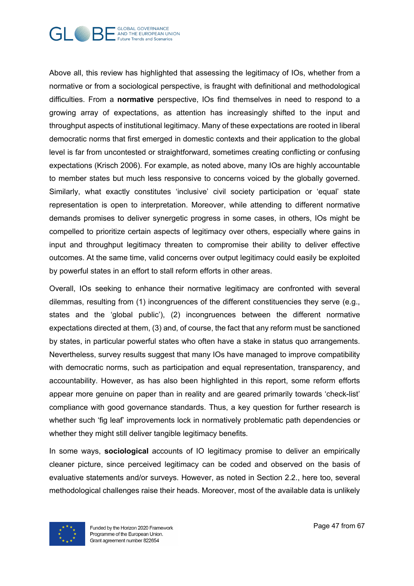

Above all, this review has highlighted that assessing the legitimacy of IOs, whether from a normative or from a sociological perspective, is fraught with definitional and methodological difficulties. From a **normative** perspective, IOs find themselves in need to respond to a growing array of expectations, as attention has increasingly shifted to the input and throughput aspects of institutional legitimacy. Many of these expectations are rooted in liberal democratic norms that first emerged in domestic contexts and their application to the global level is far from uncontested or straightforward, sometimes creating conflicting or confusing expectations (Krisch 2006). For example, as noted above, many IOs are highly accountable to member states but much less responsive to concerns voiced by the globally governed. Similarly, what exactly constitutes 'inclusive' civil society participation or 'equal' state representation is open to interpretation. Moreover, while attending to different normative demands promises to deliver synergetic progress in some cases, in others, IOs might be compelled to prioritize certain aspects of legitimacy over others, especially where gains in input and throughput legitimacy threaten to compromise their ability to deliver effective outcomes. At the same time, valid concerns over output legitimacy could easily be exploited by powerful states in an effort to stall reform efforts in other areas.

Overall, IOs seeking to enhance their normative legitimacy are confronted with several dilemmas, resulting from (1) incongruences of the different constituencies they serve (e.g., states and the 'global public'), (2) incongruences between the different normative expectations directed at them, (3) and, of course, the fact that any reform must be sanctioned by states, in particular powerful states who often have a stake in status quo arrangements. Nevertheless, survey results suggest that many IOs have managed to improve compatibility with democratic norms, such as participation and equal representation, transparency, and accountability. However, as has also been highlighted in this report, some reform efforts appear more genuine on paper than in reality and are geared primarily towards 'check-list' compliance with good governance standards. Thus, a key question for further research is whether such 'fig leaf' improvements lock in normatively problematic path dependencies or whether they might still deliver tangible legitimacy benefits.

In some ways, **sociological** accounts of IO legitimacy promise to deliver an empirically cleaner picture, since perceived legitimacy can be coded and observed on the basis of evaluative statements and/or surveys. However, as noted in Section 2.2., here too, several methodological challenges raise their heads. Moreover, most of the available data is unlikely

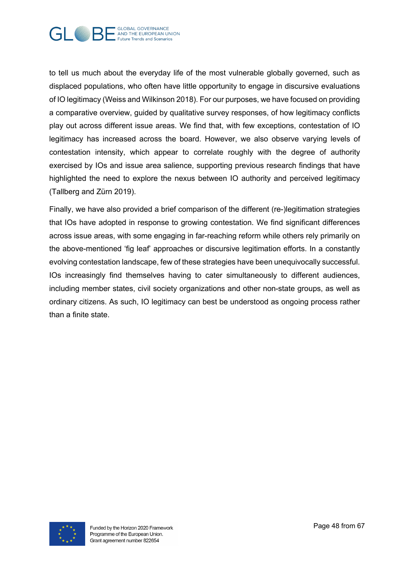

to tell us much about the everyday life of the most vulnerable globally governed, such as displaced populations, who often have little opportunity to engage in discursive evaluations of IO legitimacy (Weiss and Wilkinson 2018). For our purposes, we have focused on providing a comparative overview, guided by qualitative survey responses, of how legitimacy conflicts play out across different issue areas. We find that, with few exceptions, contestation of IO legitimacy has increased across the board. However, we also observe varying levels of contestation intensity, which appear to correlate roughly with the degree of authority exercised by IOs and issue area salience, supporting previous research findings that have highlighted the need to explore the nexus between IO authority and perceived legitimacy (Tallberg and Zürn 2019).

Finally, we have also provided a brief comparison of the different (re-)legitimation strategies that IOs have adopted in response to growing contestation. We find significant differences across issue areas, with some engaging in far-reaching reform while others rely primarily on the above-mentioned 'fig leaf' approaches or discursive legitimation efforts. In a constantly evolving contestation landscape, few of these strategies have been unequivocally successful. IOs increasingly find themselves having to cater simultaneously to different audiences, including member states, civil society organizations and other non-state groups, as well as ordinary citizens. As such, IO legitimacy can best be understood as ongoing process rather than a finite state.

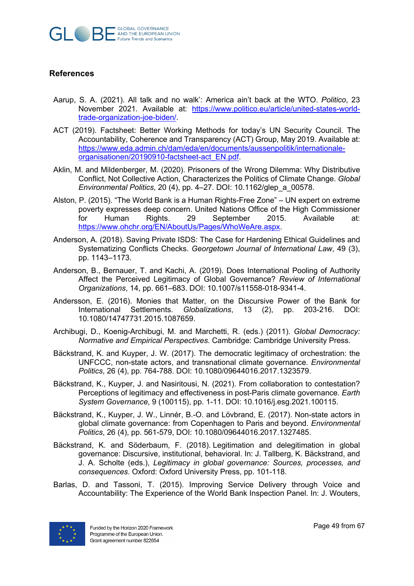

#### **References**

- Aarup, S. A. (2021). All talk and no walk': America ain't back at the WTO. *Politico*, 23 November 2021. Available at: https://www.politico.eu/article/united-states-worldtrade-organization-joe-biden/.
- ACT (2019). Factsheet: Better Working Methods for today's UN Security Council. The Accountability, Coherence and Transparency (ACT) Group, May 2019. Available at: https://www.eda.admin.ch/dam/eda/en/documents/aussenpolitik/internationaleorganisationen/20190910-factsheet-act\_EN.pdf.
- Aklin, M. and Mildenberger, M. (2020). Prisoners of the Wrong Dilemma: Why Distributive Conflict, Not Collective Action, Characterizes the Politics of Climate Change. *Global Environmental Politics*, 20 (4), pp. 4–27. DOI: 10.1162/glep\_a\_00578.
- Alston, P. (2015). "The World Bank is a Human Rights-Free Zone" UN expert on extreme poverty expresses deep concern. United Nations Office of the High Commissioner for Human Rights. 29 September 2015. Available at: https://www.ohchr.org/EN/AboutUs/Pages/WhoWeAre.aspx.
- Anderson, A. (2018). Saving Private ISDS: The Case for Hardening Ethical Guidelines and Systematizing Conflicts Checks. *Georgetown Journal of International Law*, 49 (3), pp. 1143–1173.
- Anderson, B., Bernauer, T. and Kachi, A. (2019). Does International Pooling of Authority Affect the Perceived Legitimacy of Global Governance? *Review of International Organizations*, 14, pp. 661–683. DOI: 10.1007/s11558-018-9341-4.
- Andersson, E. (2016). Monies that Matter, on the Discursive Power of the Bank for International Settlements. *Globalizations*, 13 (2), pp. 203-216. DOI: 10.1080/14747731.2015.1087659.
- Archibugi, D., Koenig-Archibugi, M. and Marchetti, R. (eds.) (2011). *Global Democracy: Normative and Empirical Perspectives*. Cambridge: Cambridge University Press.
- Bäckstrand, K. and Kuyper, J. W. (2017). The democratic legitimacy of orchestration: the UNFCCC, non-state actors, and transnational climate governance. *Environmental Politics*, 26 (4), pp. 764-788. DOI: 10.1080/09644016.2017.1323579.
- Bäckstrand, K., Kuyper, J. and Nasiritousi, N. (2021). From collaboration to contestation? Perceptions of legitimacy and effectiveness in post-Paris climate governance. *Earth System Governance*, 9 (100115), pp. 1-11. DOI: 10.1016/j.esg.2021.100115.
- Bäckstrand, K., Kuyper, J. W., Linnér, B.-O. and Lövbrand, E. (2017). Non-state actors in global climate governance: from Copenhagen to Paris and beyond. *Environmental Politics*, 26 (4), pp. 561-579, DOI: 10.1080/09644016.2017.1327485.
- Bäckstrand, K. and Söderbaum, F. (2018). Legitimation and delegitimation in global governance: Discursive, institutional, behavioral. In: J. Tallberg, K. Bäckstrand, and J. A. Scholte (eds.), *Legitimacy in global governance: Sources, processes, and consequences*. Oxford: Oxford University Press, pp. 101-118.
- Barlas, D. and Tassoni, T. (2015). Improving Service Delivery through Voice and Accountability: The Experience of the World Bank Inspection Panel. In: J. Wouters,

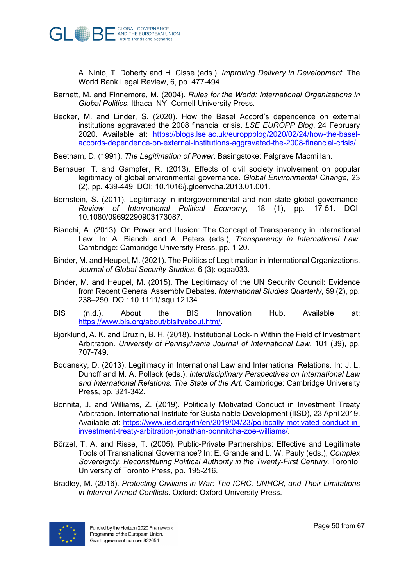

A. Ninio, T. Doherty and H. Cisse (eds.), *Improving Delivery in Development*. The World Bank Legal Review, 6, pp. 477-494.

- Barnett, M. and Finnemore, M. (2004). *Rules for the World: International Organizations in Global Politics*. Ithaca, NY: Cornell University Press.
- Becker, M. and Linder, S. (2020). How the Basel Accord's dependence on external institutions aggravated the 2008 financial crisis. *LSE EUROPP Blog*, 24 February 2020. Available at: https://blogs.lse.ac.uk/europpblog/2020/02/24/how-the-baselaccords-dependence-on-external-institutions-aggravated-the-2008-financial-crisis/.
- Beetham, D. (1991). *The Legitimation of Power*. Basingstoke: Palgrave Macmillan.
- Bernauer, T. and Gampfer, R. (2013). Effects of civil society involvement on popular legitimacy of global environmental governance. *Global Environmental Change*, 23 (2), pp. 439-449. DOI: 10.1016/j.gloenvcha.2013.01.001.
- Bernstein, S. (2011). Legitimacy in intergovernmental and non-state global governance. *Review of International Political Economy*, 18 (1), pp. 17-51. DOI: 10.1080/09692290903173087.
- Bianchi, A. (2013). On Power and Illusion: The Concept of Transparency in International Law. In: A. Bianchi and A. Peters (eds.), *Transparency in International Law*. Cambridge: Cambridge University Press, pp. 1-20.
- Binder, M. and Heupel, M. (2021). The Politics of Legitimation in International Organizations. *Journal of Global Security Studies*, 6 (3): ogaa033.
- Binder, M. and Heupel, M. (2015). The Legitimacy of the UN Security Council: Evidence from Recent General Assembly Debates. *International Studies Quarterly*, 59 (2), pp. 238–250. DOI: 10.1111/isqu.12134.
- BIS (n.d.). About the BIS Innovation Hub. Available at: https://www.bis.org/about/bisih/about.htm/.
- Bjorklund, A. K. and Druzin, B. H. (2018). Institutional Lock-in Within the Field of Investment Arbitration. *University of Pennsylvania Journal of International Law*, 101 (39), pp. 707-749.
- Bodansky, D. (2013). Legitimacy in International Law and International Relations. In: J. L. Dunoff and M. A. Pollack (eds.). *Interdisciplinary Perspectives on International Law and International Relations. The State of the Art*. Cambridge: Cambridge University Press, pp. 321-342.
- Bonnita, J. and Williams, Z. (2019). Politically Motivated Conduct in Investment Treaty Arbitration. International Institute for Sustainable Development (IISD), 23 April 2019. Available at: https://www.iisd.org/itn/en/2019/04/23/politically-motivated-conduct-ininvestment-treaty-arbitration-jonathan-bonnitcha-zoe-williams/.
- Börzel, T. A. and Risse, T. (2005). Public-Private Partnerships: Effective and Legitimate Tools of Transnational Governance? In: E. Grande and L. W. Pauly (eds.), *Complex Sovereignty. Reconstituting Political Authority in the Twenty-First Century*. Toronto: University of Toronto Press, pp. 195-216.
- Bradley, M. (2016). *Protecting Civilians in War: The ICRC, UNHCR, and Their Limitations in Internal Armed Conflicts*. Oxford: Oxford University Press.

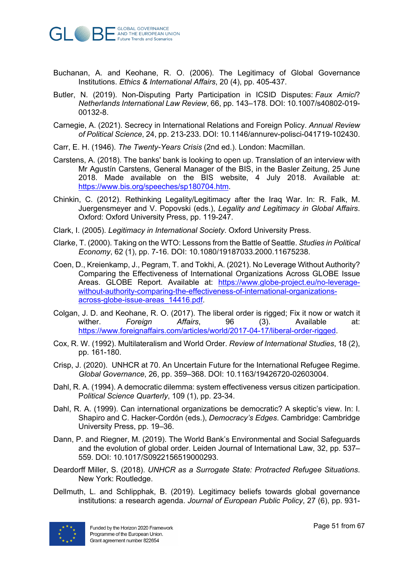

- Buchanan, A. and Keohane, R. O. (2006). The Legitimacy of Global Governance Institutions. *Ethics & International Affairs*, 20 (4), pp. 405-437.
- Butler, N. (2019). Non-Disputing Party Participation in ICSID Disputes: *Faux Amici*? *Netherlands International Law Review*, 66, pp. 143–178. DOI: 10.1007/s40802-019- 00132-8.
- Carnegie, A. (2021). Secrecy in International Relations and Foreign Policy. *Annual Review of Political Science*, 24, pp. 213-233. DOI: 10.1146/annurev-polisci-041719-102430.
- Carr, E. H. (1946). *The Twenty-Years Crisis* (2nd ed.). London: Macmillan.
- Carstens, A. (2018). The banks' bank is looking to open up. Translation of an interview with Mr Agustín Carstens, General Manager of the BIS, in the Basler Zeitung, 25 June 2018. Made available on the BIS website, 4 July 2018. Available at: https://www.bis.org/speeches/sp180704.htm.
- Chinkin, C. (2012). Rethinking Legality/Legitimacy after the Iraq War. In: R. Falk, M. Juergensmeyer and V. Popovski (eds.), *Legality and Legitimacy in Global Affairs*. Oxford: Oxford University Press, pp. 119-247.
- Clark, I. (2005). *Legitimacy in International Society*. Oxford University Press.
- Clarke, T. (2000). Taking on the WTO: Lessons from the Battle of Seattle. *Studies in Political Economy*, 62 (1), pp. 7-16. DOI: 10.1080/19187033.2000.11675238.
- Coen, D., Kreienkamp, J., Pegram, T. and Tokhi, A. (2021). No Leverage Without Authority? Comparing the Effectiveness of International Organizations Across GLOBE Issue Areas. GLOBE Report. Available at: https://www.globe-project.eu/no-leveragewithout-authority-comparing-the-effectiveness-of-international-organizationsacross-globe-issue-areas\_14416.pdf.
- Colgan, J. D. and Keohane, R. O. (2017). The liberal order is rigged; Fix it now or watch it wither. *Foreign Affairs*, 96 (3). Available at: https://www.foreignaffairs.com/articles/world/2017-04-17/liberal-order-rigged.
- Cox, R. W. (1992). Multilateralism and World Order. *Review of International Studies*, 18 (2), pp. 161-180.
- Crisp, J. (2020). UNHCR at 70. An Uncertain Future for the International Refugee Regime. *Global Governance*, 26, pp. 359–368. DOI: 10.1163/19426720-02603004.
- Dahl, R. A. (1994). A democratic dilemma: system effectiveness versus citizen participation. P*olitical Science Quarterly*, 109 (1), pp. 23-34.
- Dahl, R. A. (1999). Can international organizations be democratic? A skeptic's view. In: I. Shapiro and C. Hacker-Cordón (eds.), *Democracy's Edges*. Cambridge: Cambridge University Press, pp. 19–36.
- Dann, P. and Riegner, M. (2019). The World Bank's Environmental and Social Safeguards and the evolution of global order. Leiden Journal of International Law, 32, pp. 537– 559. DOI: 10.1017/S0922156519000293.
- Deardorff Miller, S. (2018). *UNHCR as a Surrogate State: Protracted Refugee Situations*. New York: Routledge.
- Dellmuth, L. and Schlipphak, B. (2019). Legitimacy beliefs towards global governance institutions: a research agenda. *Journal of European Public Policy*, 27 (6), pp. 931-

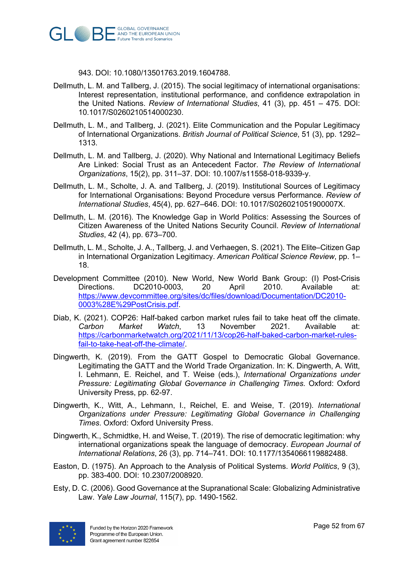

943. DOI: 10.1080/13501763.2019.1604788.

- Dellmuth, L. M. and Tallberg, J. (2015). The social legitimacy of international organisations: Interest representation, institutional performance, and confidence extrapolation in the United Nations. *Review of International Studies*, 41 (3), pp. 451 – 475. DOI: 10.1017/S0260210514000230.
- Dellmuth, L. M., and Tallberg, J. (2021). Elite Communication and the Popular Legitimacy of International Organizations. *British Journal of Political Science*, 51 (3), pp. 1292– 1313.
- Dellmuth, L. M. and Tallberg, J. (2020). Why National and International Legitimacy Beliefs Are Linked: Social Trust as an Antecedent Factor. *The Review of International Organizations*, 15(2), pp. 311–37. DOI: 10.1007/s11558-018-9339-y.
- Dellmuth, L. M., Scholte, J. A. and Tallberg, J. (2019). Institutional Sources of Legitimacy for International Organisations: Beyond Procedure versus Performance. *Review of International Studies*, 45(4), pp. 627–646. DOI: 10.1017/S026021051900007X.
- Dellmuth, L. M. (2016). The Knowledge Gap in World Politics: Assessing the Sources of Citizen Awareness of the United Nations Security Council. *Review of International Studies*, 42 (4), pp. 673–700.
- Dellmuth, L. M., Scholte, J. A., Tallberg, J. and Verhaegen, S. (2021). The Elite–Citizen Gap in International Organization Legitimacy. *American Political Science Review*, pp. 1– 18.
- Development Committee (2010). New World, New World Bank Group: (I) Post-Crisis Directions. DC2010-0003, 20 April 2010. Available at: https://www.devcommittee.org/sites/dc/files/download/Documentation/DC2010- 0003%28E%29PostCrisis.pdf.
- Diab, K. (2021). COP26: Half-baked carbon market rules fail to take heat off the climate. *Carbon Market Watch*, 13 November 2021. Available at: https://carbonmarketwatch.org/2021/11/13/cop26-half-baked-carbon-market-rulesfail-to-take-heat-off-the-climate/.
- Dingwerth, K. (2019). From the GATT Gospel to Democratic Global Governance. Legitimating the GATT and the World Trade Organization. In: K. Dingwerth, A. Witt, I. Lehmann, E. Reichel, and T. Weise (eds.), *International Organizations under Pressure: Legitimating Global Governance in Challenging Times*. Oxford: Oxford University Press, pp. 62-97.
- Dingwerth, K., Witt, A., Lehmann, I., Reichel, E. and Weise, T. (2019). *International Organizations under Pressure: Legitimating Global Governance in Challenging Times*. Oxford: Oxford University Press.
- Dingwerth, K., Schmidtke, H. and Weise, T. (2019). The rise of democratic legitimation: why international organizations speak the language of democracy. *European Journal of International Relations*, 26 (3), pp. 714–741. DOI: 10.1177/1354066119882488.
- Easton, D. (1975). An Approach to the Analysis of Political Systems. *World Politics*, 9 (3), pp. 383-400. DOI: 10.2307/2008920.
- Esty, D. C. (2006). Good Governance at the Supranational Scale: Globalizing Administrative Law. *Yale Law Journal*, 115(7), pp. 1490-1562.

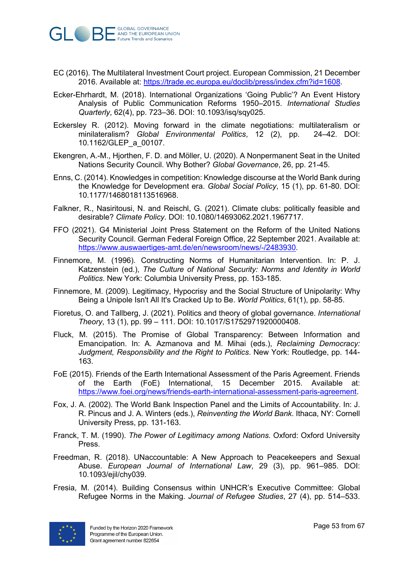

- EC (2016). The Multilateral Investment Court project. European Commission, 21 December 2016. Available at: https://trade.ec.europa.eu/doclib/press/index.cfm?id=1608.
- Ecker-Ehrhardt, M. (2018). International Organizations 'Going Public'? An Event History Analysis of Public Communication Reforms 1950–2015. *International Studies Quarterly*, 62(4), pp. 723–36. DOI: 10.1093/isq/sqy025.
- Eckersley R. (2012). Moving forward in the climate negotiations: multilateralism or minilateralism? *Global Environmental Politics*, 12 (2), pp. 24–42. DOI: 10.1162/GLEP\_a\_00107.
- Ekengren, A.-M., Hjorthen, F. D. and Möller, U. (2020). A Nonpermanent Seat in the United Nations Security Council. Why Bother? *Global Governance*, 26, pp. 21-45.
- Enns, C. (2014). Knowledges in competition: Knowledge discourse at the World Bank during the Knowledge for Development era. *Global Social Policy*, 15 (1), pp. 61-80. DOI: 10.1177/1468018113516968.
- Falkner, R., Nasiritousi, N. and Reischl, G. (2021). Climate clubs: politically feasible and desirable? *Climate Policy*. DOI: 10.1080/14693062.2021.1967717.
- FFO (2021). G4 Ministerial Joint Press Statement on the Reform of the United Nations Security Council. German Federal Foreign Office, 22 September 2021. Available at: https://www.auswaertiges-amt.de/en/newsroom/news/-/2483930.
- Finnemore, M. (1996). Constructing Norms of Humanitarian Intervention. In: P. J. Katzenstein (ed.), *The Culture of National Security: Norms and Identity in World Politics*. New York: Columbia University Press, pp. 153-185.
- Finnemore, M. (2009). Legitimacy, Hypocrisy and the Social Structure of Unipolarity: Why Being a Unipole Isn't All It's Cracked Up to Be. *World Politics*, 61(1), pp. 58-85.
- Fioretus, O. and Tallberg, J. (2021). Politics and theory of global governance. *International Theory*, 13 (1), pp. 99 – 111. DOI: 10.1017/S1752971920000408.
- Fluck, M. (2015). The Promise of Global Transparency: Between Information and Emancipation. In: A. Azmanova and M. Mihai (eds.), *Reclaiming Democracy: Judgment, Responsibility and the Right to Politics*. New York: Routledge, pp. 144- 163.
- FoE (2015). Friends of the Earth International Assessment of the Paris Agreement. Friends of the Earth (FoE) International, 15 December 2015. Available at: https://www.foei.org/news/friends-earth-international-assessment-paris-agreement.
- Fox, J. A. (2002). The World Bank Inspection Panel and the Limits of Accountability. In: J. R. Pincus and J. A. Winters (eds.), *Reinventing the World Bank*. Ithaca, NY: Cornell University Press, pp. 131-163.
- Franck, T. M. (1990). *The Power of Legitimacy among Nations*. Oxford: Oxford University Press.
- Freedman, R. (2018). UNaccountable: A New Approach to Peacekeepers and Sexual Abuse. *European Journal of International Law*, 29 (3), pp. 961–985. DOI: 10.1093/ejil/chy039.
- Fresia, M. (2014). Building Consensus within UNHCR's Executive Committee: Global Refugee Norms in the Making. *Journal of Refugee Studies*, 27 (4), pp. 514–533.

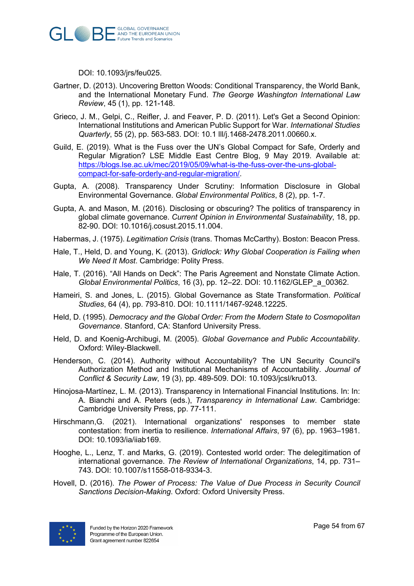

DOI: 10.1093/jrs/feu025.

- Gartner, D. (2013). Uncovering Bretton Woods: Conditional Transparency, the World Bank, and the International Monetary Fund. *The George Washington International Law Review*, 45 (1), pp. 121-148.
- Grieco, J. M., Gelpi, C., Reifler, J. and Feaver, P. D. (2011). Let's Get a Second Opinion: International Institutions and American Public Support for War. *International Studies Quarterly*, 55 (2), pp. 563-583. DOI: 10.1 lll/j.1468-2478.2011.00660.x.
- Guild, E. (2019). What is the Fuss over the UN's Global Compact for Safe, Orderly and Regular Migration? LSE Middle East Centre Blog, 9 May 2019. Available at: https://blogs.lse.ac.uk/mec/2019/05/09/what-is-the-fuss-over-the-uns-globalcompact-for-safe-orderly-and-regular-migration/.
- Gupta, A. (2008). Transparency Under Scrutiny: Information Disclosure in Global Environmental Governance. *Global Environmental Politics*, 8 (2), pp. 1-7.
- Gupta, A. and Mason, M. (2016). Disclosing or obscuring? The politics of transparency in global climate governance. *Current Opinion in Environmental Sustainability*, 18, pp. 82-90. DOI: 10.1016/j.cosust.2015.11.004.
- Habermas, J. (1975). *Legitimation Crisis* (trans. Thomas McCarthy). Boston: Beacon Press.
- Hale, T., Held, D. and Young, K. (2013). *Gridlock: Why Global Cooperation is Failing when We Need It Most*. Cambridge: Polity Press.
- Hale, T. (2016). "All Hands on Deck": The Paris Agreement and Nonstate Climate Action. *Global Environmental Politics*, 16 (3), pp. 12–22. DOI: 10.1162/GLEP\_a\_00362.
- Hameiri, S. and Jones, L. (2015). Global Governance as State Transformation. *Political Studies*, 64 (4), pp. 793-810. DOI: 10.1111/1467-9248.12225.
- Held, D. (1995). *Democracy and the Global Order: From the Modern State to Cosmopolitan Governance*. Stanford, CA: Stanford University Press.
- Held, D. and Koenig-Archibugi, M. (2005). *Global Governance and Public Accountability*. Oxford: Wiley-Blackwell.
- Henderson, C. (2014). Authority without Accountability? The UN Security Council's Authorization Method and Institutional Mechanisms of Accountability. *Journal of Conflict & Security Law*, 19 (3), pp. 489-509. DOI: 10.1093/jcsl/kru013.
- Hinojosa-Martínez, L. M. (2013). Transparency in International Financial Institutions. In: In: A. Bianchi and A. Peters (eds.), *Transparency in International Law*. Cambridge: Cambridge University Press, pp. 77-111.
- Hirschmann,G. (2021). International organizations' responses to member state contestation: from inertia to resilience. *International Affairs*, 97 (6), pp. 1963–1981. DOI: 10.1093/ia/iiab169.
- Hooghe, L., Lenz, T. and Marks, G. (2019). Contested world order: The delegitimation of international governance. *The Review of International Organizations*, 14, pp. 731– 743. DOI: 10.1007/s11558-018-9334-3.
- Hovell, D. (2016). *The Power of Process: The Value of Due Process in Security Council Sanctions Decision-Making*. Oxford: Oxford University Press.

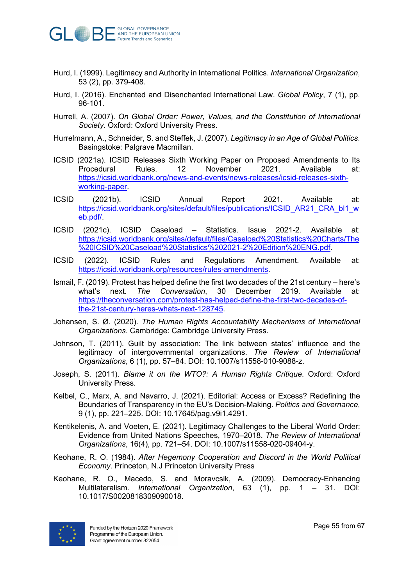

- Hurd, I. (1999). Legitimacy and Authority in International Politics. *International Organization*, 53 (2), pp. 379-408.
- Hurd, I. (2016). Enchanted and Disenchanted International Law. *Global Policy*, 7 (1), pp. 96-101.
- Hurrell, A. (2007). *On Global Order: Power, Values, and the Constitution of International Society*. Oxford: Oxford University Press.
- Hurrelmann, A., Schneider, S. and Steffek, J. (2007). *Legitimacy in an Age of Global Politics*. Basingstoke: Palgrave Macmillan.
- ICSID (2021a). ICSID Releases Sixth Working Paper on Proposed Amendments to Its Procedural Rules. 12 November 2021. Available at: https://icsid.worldbank.org/news-and-events/news-releases/icsid-releases-sixthworking-paper.
- ICSID (2021b). ICSID Annual Report 2021. Available at: https://icsid.worldbank.org/sites/default/files/publications/ICSID\_AR21\_CRA\_bl1\_w eb.pdf/.
- ICSID (2021c). ICSID Caseload Statistics. Issue 2021-2. Available at: https://icsid.worldbank.org/sites/default/files/Caseload%20Statistics%20Charts/The %20ICSID%20Caseload%20Statistics%202021-2%20Edition%20ENG.pdf.
- ICSID (2022). ICSID Rules and Regulations Amendment. Available at: https://icsid.worldbank.org/resources/rules-amendments.
- Ismail, F. (2019). Protest has helped define the first two decades of the 21st century here's what's next. *The Conversation*, 30 December 2019. Available at: https://theconversation.com/protest-has-helped-define-the-first-two-decades-ofthe-21st-century-heres-whats-next-128745.
- Johansen, S. Ø. (2020). *The Human Rights Accountability Mechanisms of International Organizations*. Cambridge: Cambridge University Press.
- Johnson, T. (2011). Guilt by association: The link between states' influence and the legitimacy of intergovernmental organizations. *The Review of International Organizations*, 6 (1), pp. 57–84. DOI: 10.1007/s11558-010-9088-z.
- Joseph, S. (2011). *Blame it on the WTO?: A Human Rights Critique*. Oxford: Oxford University Press.
- Kelbel, C., Marx, A. and Navarro, J. (2021). Editorial: Access or Excess? Redefining the Boundaries of Transparency in the EU's Decision-Making. *Politics and Governance*, 9 (1), pp. 221–225. DOI: 10.17645/pag.v9i1.4291.
- Kentikelenis, A. and Voeten, E. (2021). Legitimacy Challenges to the Liberal World Order: Evidence from United Nations Speeches, 1970–2018. *The Review of International Organizations*, 16(4), pp. 721–54. DOI: 10.1007/s11558-020-09404-y.
- Keohane, R. O. (1984). *After Hegemony Cooperation and Discord in the World Political Economy*. Princeton, N.J Princeton University Press
- Keohane, R. O., Macedo, S. and Moravcsik, A. (2009). Democracy-Enhancing Multilateralism. *International Organization*, 63 (1), pp. 1 – 31. DOI: 10.1017/S0020818309090018.

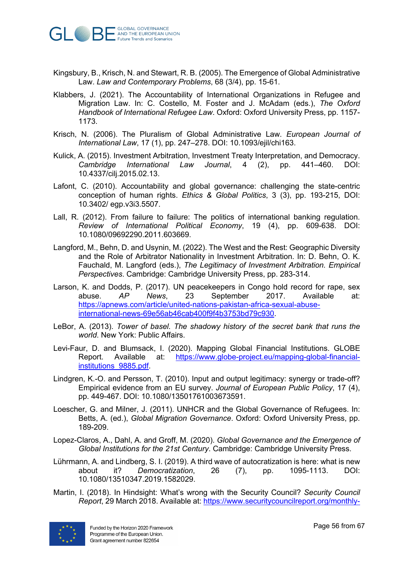

- Kingsbury, B., Krisch, N. and Stewart, R. B. (2005). The Emergence of Global Administrative Law. *Law and Contemporary Problems*, 68 (3/4), pp. 15-61.
- Klabbers, J. (2021). The Accountability of International Organizations in Refugee and Migration Law. In: C. Costello, M. Foster and J. McAdam (eds.), *The Oxford Handbook of International Refugee Law*. Oxford: Oxford University Press, pp. 1157- 1173.
- Krisch, N. (2006). The Pluralism of Global Administrative Law. *European Journal of International Law*, 17 (1), pp. 247–278. DOI: 10.1093/ejil/chi163.
- Kulick, A. (2015). Investment Arbitration, Investment Treaty Interpretation, and Democracy. *Cambridge International Law Journal*, 4 (2), pp. 441–460. DOI: 10.4337/cilj.2015.02.13.
- Lafont, C. (2010). Accountability and global governance: challenging the state-centric conception of human rights. *Ethics & Global Politics*, 3 (3), pp. 193-215, DOI: 10.3402/ egp.v3i3.5507.
- Lall, R. (2012). From failure to failure: The politics of international banking regulation. *Review of International Political Economy*, 19 (4), pp. 609-638. DOI: 10.1080/09692290.2011.603669.
- Langford, M., Behn, D. and Usynin, M. (2022). The West and the Rest: Geographic Diversity and the Role of Arbitrator Nationality in Investment Arbitration. In: D. Behn, O. K. Fauchald, M. Langford (eds.), *The Legitimacy of Investment Arbitration. Empirical Perspectives*. Cambridge: Cambridge University Press, pp. 283-314.
- Larson, K. and Dodds, P. (2017). UN peacekeepers in Congo hold record for rape, sex abuse. *AP News*, 23 September 2017. Available at: https://apnews.com/article/united-nations-pakistan-africa-sexual-abuseinternational-news-69e56ab46cab400f9f4b3753bd79c930.
- LeBor, A. (2013). *Tower of basel. The shadowy history of the secret bank that runs the world*. New York: Public Affairs.
- Levi-Faur, D. and Blumsack, I. (2020). Mapping Global Financial Institutions. GLOBE Report. Available at: https://www.globe-project.eu/mapping-global-financialinstitutions\_9885.pdf.
- Lindgren, K.-O. and Persson, T. (2010). Input and output legitimacy: synergy or trade-off? Empirical evidence from an EU survey. *Journal of European Public Policy*, 17 (4), pp. 449-467. DOI: 10.1080/13501761003673591.
- Loescher, G. and Milner, J. (2011). UNHCR and the Global Governance of Refugees. In: Betts, A. (ed.), *Global Migration Governance*. Oxford: Oxford University Press, pp. 189-209.
- Lopez-Claros, A., Dahl, A. and Groff, M. (2020). *Global Governance and the Emergence of Global Institutions for the 21st Century*. Cambridge: Cambridge University Press.
- Lührmann, A. and Lindberg, S. I. (2019). A third wave of autocratization is here: what is new about it? *Democratization*, 26 (7), pp. 1095-1113. DOI: 10.1080/13510347.2019.1582029.
- Martin, I. (2018). In Hindsight: What's wrong with the Security Council? *Security Council Report*, 29 March 2018. Available at: https://www.securitycouncilreport.org/monthly-

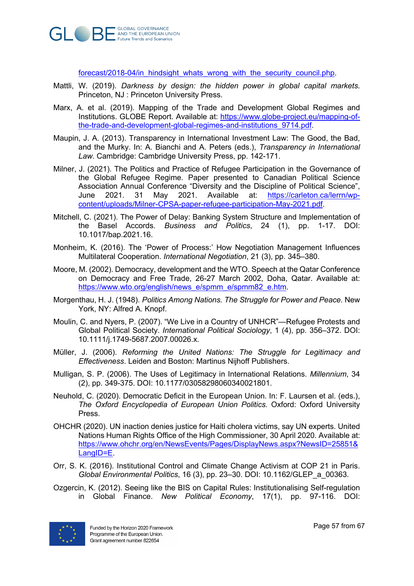

forecast/2018-04/in\_hindsight\_whats\_wrong\_with\_the\_security\_council.php.

- Mattli, W. (2019). *Darkness by design: the hidden power in global capital markets*. Princeton, NJ : Princeton University Press.
- Marx, A. et al. (2019). Mapping of the Trade and Development Global Regimes and Institutions. GLOBE Report. Available at: https://www.globe-project.eu/mapping-ofthe-trade-and-development-global-regimes-and-institutions\_9714.pdf.
- Maupin, J. A. (2013). Transparency in International Investment Law: The Good, the Bad, and the Murky. In: A. Bianchi and A. Peters (eds.), *Transparency in International Law*. Cambridge: Cambridge University Press, pp. 142-171.
- Milner, J. (2021). The Politics and Practice of Refugee Participation in the Governance of the Global Refugee Regime. Paper presented to Canadian Political Science Association Annual Conference "Diversity and the Discipline of Political Science", June 2021. 31 May 2021. Available at: https://carleton.ca/lerrn/wpcontent/uploads/Milner-CPSA-paper-refugee-participation-May-2021.pdf.
- Mitchell, C. (2021). The Power of Delay: Banking System Structure and Implementation of the Basel Accords. *Business and Politics*, 24 (1), pp. 1-17. DOI: 10.1017/bap.2021.16.
- Monheim, K. (2016). The 'Power of Process:' How Negotiation Management Influences Multilateral Cooperation. *International Negotiation*, 21 (3), pp. 345–380.
- Moore, M. (2002). Democracy, development and the WTO. Speech at the Qatar Conference on Democracy and Free Trade, 26-27 March 2002, Doha, Qatar. Available at: https://www.wto.org/english/news\_e/spmm\_e/spmm82\_e.htm.
- Morgenthau, H. J. (1948). *Politics Among Nations. The Struggle for Power and Peace*. New York, NY: Alfred A. Knopf.
- Moulin, C. and Nyers, P. (2007). "We Live in a Country of UNHCR"—Refugee Protests and Global Political Society. *International Political Sociology*, 1 (4), pp. 356–372. DOI: 10.1111/j.1749-5687.2007.00026.x.
- Müller, J. (2006). *Reforming the United Nations: The Struggle for Legitimacy and Effectiveness*. Leiden and Boston: Martinus Nijhoff Publishers.
- Mulligan, S. P. (2006). The Uses of Legitimacy in International Relations. *Millennium*, 34 (2), pp. 349-375. DOI: 10.1177/03058298060340021801.
- Neuhold, C. (2020). Democratic Deficit in the European Union. In: F. Laursen et al. (eds.), *The Oxford Encyclopedia of European Union Politics*. Oxford: Oxford University Press.
- OHCHR (2020). UN inaction denies justice for Haiti cholera victims, say UN experts. United Nations Human Rights Office of the High Commissioner, 30 April 2020. Available at: https://www.ohchr.org/en/NewsEvents/Pages/DisplayNews.aspx?NewsID=25851& LangID=E.
- Orr, S. K. (2016). Institutional Control and Climate Change Activism at COP 21 in Paris. *Global Environmental Politics*, 16 (3), pp. 23–30. DOI: 10.1162/GLEP\_a\_00363.
- Ozgercin, K. (2012). Seeing like the BIS on Capital Rules: Institutionalising Self-regulation in Global Finance. *New Political Economy*, 17(1), pp. 97-116. DOI:

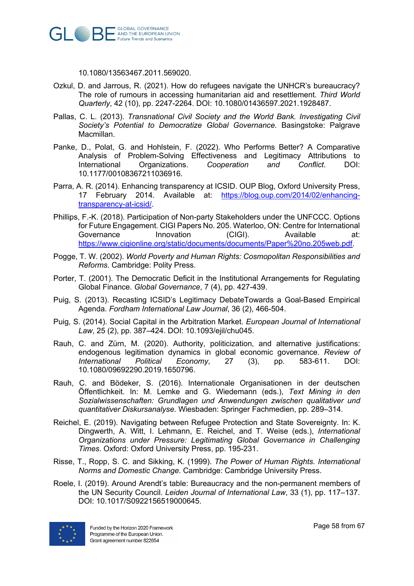

10.1080/13563467.2011.569020.

- Ozkul, D. and Jarrous, R. (2021). How do refugees navigate the UNHCR's bureaucracy? The role of rumours in accessing humanitarian aid and resettlement. *Third World Quarterly*, 42 (10), pp. 2247-2264. DOI: 10.1080/01436597.2021.1928487.
- Pallas, C. L. (2013). *Transnational Civil Society and the World Bank. Investigating Civil Society's Potential to Democratize Global Governance*. Basingstoke: Palgrave Macmillan.
- Panke, D., Polat, G. and Hohlstein, F. (2022). Who Performs Better? A Comparative Analysis of Problem-Solving Effectiveness and Legitimacy Attributions to International Organizations. *Cooperation and Conflict*. DOI: 10.1177/00108367211036916.
- Parra, A. R. (2014). Enhancing transparency at ICSID. OUP Blog, Oxford University Press, 17 February 2014. Available at: https://blog.oup.com/2014/02/enhancingtransparency-at-icsid/.
- Phillips, F.-K. (2018). Participation of Non-party Stakeholders under the UNFCCC. Options for Future Engagement. CIGI Papers No. 205. Waterloo, ON: Centre for International Governance Innovation (CIGI). Available at: https://www.cigionline.org/static/documents/documents/Paper%20no.205web.pdf.
- Pogge, T. W. (2002). *World Poverty and Human Rights: Cosmopolitan Responsibilities and Reforms*. Cambridge: Polity Press.
- Porter, T. (2001). The Democratic Deficit in the Institutional Arrangements for Regulating Global Finance. *Global Governance*, 7 (4), pp. 427-439.
- Puig, S. (2013). Recasting ICSID's Legitimacy DebateTowards a Goal-Based Empirical Agenda. *Fordham International Law Journal*, 36 (2), 466-504.
- Puig, S. (2014). Social Capital in the Arbitration Market. *European Journal of International Law*, 25 (2), pp. 387–424. DOI: 10.1093/ejil/chu045.
- Rauh, C. and Zürn, M. (2020). Authority, politicization, and alternative justifications: endogenous legitimation dynamics in global economic governance. *Review of International Political Economy*, 27 (3), pp. 583-611. DOI: 10.1080/09692290.2019.1650796.
- Rauh, C. and Bödeker, S. (2016). Internationale Organisationen in der deutschen Öffentlichkeit. In: M. Lemke and G. Wiedemann (eds.), *Text Mining in den Sozialwissenschaften: Grundlagen und Anwendungen zwischen qualitativer und quantitativer Diskursanalyse*. Wiesbaden: Springer Fachmedien, pp. 289–314.
- Reichel, E. (2019). Navigating between Refugee Protection and State Sovereignty. In: K. Dingwerth, A. Witt, I. Lehmann, E. Reichel, and T. Weise (eds.), *International Organizations under Pressure: Legitimating Global Governance in Challenging Times*. Oxford: Oxford University Press, pp. 195-231.
- Risse, T., Ropp, S. C. and Sikking, K. (1999). *The Power of Human Rights. International Norms and Domestic Change*. Cambridge: Cambridge University Press.
- Roele, I. (2019). Around Arendt's table: Bureaucracy and the non-permanent members of the UN Security Council. *Leiden Journal of International Law*, 33 (1), pp. 117–137. DOI: 10.1017/S0922156519000645.

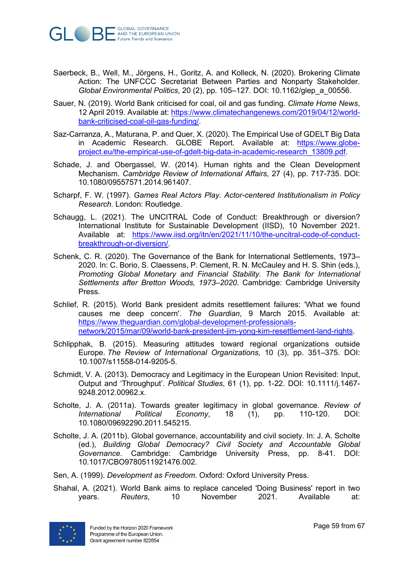

- Saerbeck, B., Well, M., Jörgens, H., Goritz, A. and Kolleck, N. (2020). Brokering Climate Action: The UNFCCC Secretariat Between Parties and Nonparty Stakeholder. *Global Environmental Politics*, 20 (2), pp. 105–127. DOI: 10.1162/glep\_a\_00556.
- Sauer, N. (2019). World Bank criticised for coal, oil and gas funding. *Climate Home News*, 12 April 2019. Available at: https://www.climatechangenews.com/2019/04/12/worldbank-criticised-coal-oil-gas-funding/.
- Saz-Carranza, A., Maturana, P. and Quer, X. (2020). The Empirical Use of GDELT Big Data in Academic Research. GLOBE Report. Available at: https://www.globeproject.eu/the-empirical-use-of-gdelt-big-data-in-academic-research\_13809.pdf.
- Schade, J. and Obergassel, W. (2014). Human rights and the Clean Development Mechanism. *Cambridge Review of International Affairs*, 27 (4), pp. 717-735. DOI: 10.1080/09557571.2014.961407.
- Scharpf, F. W. (1997). *Games Real Actors Play. Actor-centered Institutionalism in Policy Research*. London: Routledge.
- Schaugg, L. (2021). The UNCITRAL Code of Conduct: Breakthrough or diversion? International Institute for Sustainable Development (IISD), 10 November 2021. Available at: https://www.iisd.org/itn/en/2021/11/10/the-uncitral-code-of-conductbreakthrough-or-diversion/.
- Schenk, C. R. (2020). The Governance of the Bank for International Settlements, 1973– 2020. In: C. Borio, S. Claessens, P. Clement, R. N. McCauley and H. S. Shin (eds.), *Promoting Global Monetary and Financial Stability. The Bank for International Settlements after Bretton Woods, 1973–2020*. Cambridge: Cambridge University Press.
- Schlief, R. (2015). World Bank president admits resettlement failures: 'What we found causes me deep concern'. *The Guardian*, 9 March 2015. Available at: https://www.theguardian.com/global-development-professionalsnetwork/2015/mar/09/world-bank-president-jim-yong-kim-resettlement-land-rights.
- Schlipphak, B. (2015). Measuring attitudes toward regional organizations outside Europe. *The Review of International Organizations,* 10 (3), pp. 351–375. DOI: 10.1007/s11558-014-9205-5.
- Schmidt, V. A. (2013). Democracy and Legitimacy in the European Union Revisited: Input, Output and 'Throughput'. *Political Studies*, 61 (1), pp. 1-22. DOI: 10.1111/j.1467- 9248.2012.00962.x.
- Scholte, J. A. (2011a). Towards greater legitimacy in global governance. *Review of International Political Economy*, 18 (1), pp. 110-120. DOI: 10.1080/09692290.2011.545215.
- Scholte, J. A. (2011b). Global governance, accountability and civil society. In: J. A. Scholte (ed.), *Building Global Democracy? Civil Society and Accountable Global Governance*. Cambridge: Cambridge University Press, pp. 8-41. DOI: 10.1017/CBO9780511921476.002.
- Sen, A. (1999). *Development as Freedom*. Oxford: Oxford University Press.
- Shahal, A. (2021). World Bank aims to replace canceled 'Doing Business' report in two years. *Reuters*, 10 November 2021. Available at:

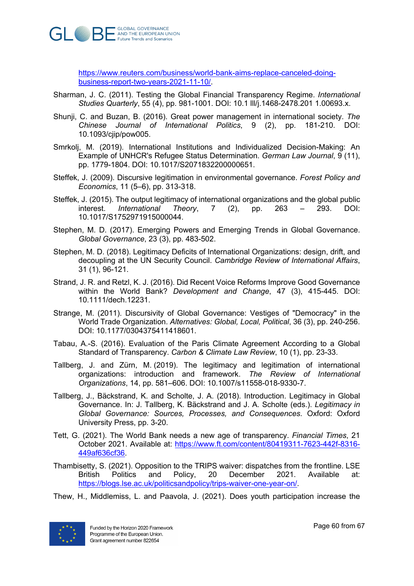

https://www.reuters.com/business/world-bank-aims-replace-canceled-doingbusiness-report-two-years-2021-11-10/.

- Sharman, J. C. (2011). Testing the Global Financial Transparency Regime. *International Studies Quarterly*, 55 (4), pp. 981-1001. DOI: 10.1 lll/j.1468-2478.201 1.00693.x.
- Shunji, C. and Buzan, B. (2016). Great power management in international society. *The Chinese Journal of International Politics*, 9 (2), pp. 181-210. DOI: 10.1093/cjip/pow005.
- Smrkolj, M. (2019). International Institutions and Individualized Decision-Making: An Example of UNHCR's Refugee Status Determination. *German Law Journal*, 9 (11), pp. 1779-1804. DOI: 10.1017/S2071832200000651.
- Steffek, J. (2009). Discursive legitimation in environmental governance. *Forest Policy and Economics*, 11 (5–6), pp. 313-318.
- Steffek, J. (2015). The output legitimacy of international organizations and the global public interest. *International Theory*, 7 (2), pp. 263 – 293. DOI: 10.1017/S1752971915000044.
- Stephen, M. D. (2017). Emerging Powers and Emerging Trends in Global Governance. *Global Governance*, 23 (3), pp. 483-502.
- Stephen, M. D. (2018). Legitimacy Deficits of International Organizations: design, drift, and decoupling at the UN Security Council. *Cambridge Review of International Affairs*, 31 (1), 96-121.
- Strand, J. R. and Retzl, K. J. (2016). Did Recent Voice Reforms Improve Good Governance within the World Bank? *Development and Change*, 47 (3), 415-445. DOI: 10.1111/dech.12231.
- Strange, M. (2011). Discursivity of Global Governance: Vestiges of "Democracy" in the World Trade Organization. *Alternatives: Global, Local, Political*, 36 (3), pp. 240-256. DOI: 10.1177/0304375411418601.
- Tabau, A.-S. (2016). Evaluation of the Paris Climate Agreement According to a Global Standard of Transparency. *Carbon & Climate Law Review*, 10 (1), pp. 23-33.
- Tallberg, J. and Zürn, M. (2019). The legitimacy and legitimation of international organizations: introduction and framework. *The Review of International Organizations*, 14, pp. 581–606. DOI: 10.1007/s11558-018-9330-7.
- Tallberg, J., Bäckstrand, K. and Scholte, J. A. (2018). Introduction. Legitimacy in Global Governance. In: J. Tallberg, K. Bäckstrand and J. A. Scholte (eds.). *Legitimacy in Global Governance: Sources, Processes, and Consequences*. Oxford: Oxford University Press, pp. 3-20.
- Tett, G. (2021). The World Bank needs a new age of transparency. *Financial Times*, 21 October 2021. Available at: https://www.ft.com/content/80419311-7623-442f-8316- 449af636cf36.
- Thambisetty, S. (2021). Opposition to the TRIPS waiver: dispatches from the frontline. LSE British Politics and Policy, 20 December 2021. Available at: https://blogs.lse.ac.uk/politicsandpolicy/trips-waiver-one-year-on/.
- Thew, H., Middlemiss, L. and Paavola, J. (2021). Does youth participation increase the

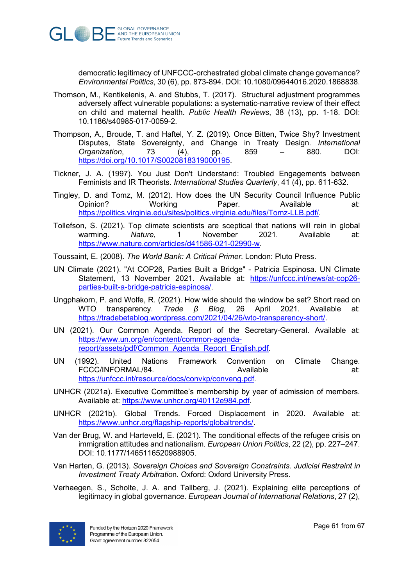

democratic legitimacy of UNFCCC-orchestrated global climate change governance? *Environmental Politics*, 30 (6), pp. 873-894. DOI: 10.1080/09644016.2020.1868838.

- Thomson, M., Kentikelenis, A. and Stubbs, T. (2017). Structural adjustment programmes adversely affect vulnerable populations: a systematic-narrative review of their effect on child and maternal health. *Public Health Reviews*, 38 (13), pp. 1-18. DOI: 10.1186/s40985-017-0059-2.
- Thompson, A., Broude, T. and Haftel, Y. Z. (2019). Once Bitten, Twice Shy? Investment Disputes, State Sovereignty, and Change in Treaty Design. *International Organization*, 73 (4), pp. 859 – 880. DOI: https://doi.org/10.1017/S0020818319000195.
- Tickner, J. A. (1997). You Just Don't Understand: Troubled Engagements between Feminists and IR Theorists. *International Studies Quarterly*, 41 (4), pp. 611-632.
- Tingley, D. and Tomz, M. (2012). How does the UN Security Council Influence Public Opinion? Working Paper. Available at: https://politics.virginia.edu/sites/politics.virginia.edu/files/Tomz-LLB.pdf/.
- Tollefson, S. (2021). Top climate scientists are sceptical that nations will rein in global warming. *Nature*, 1 November 2021. Available at: https://www.nature.com/articles/d41586-021-02990-w.

Toussaint, E. (2008). *The World Bank: A Critical Primer*. London: Pluto Press.

- UN Climate (2021). "At COP26, Parties Built a Bridge" Patricia Espinosa. UN Climate Statement, 13 November 2021. Available at: https://unfccc.int/news/at-cop26parties-built-a-bridge-patricia-espinosa/.
- Ungphakorn, P. and Wolfe, R. (2021). How wide should the window be set? Short read on WTO transparency. *Trade β Blog*, 26 April 2021. Available at: https://tradebetablog.wordpress.com/2021/04/26/wto-transparency-short/.
- UN (2021). Our Common Agenda. Report of the Secretary-General. Available at: https://www.un.org/en/content/common-agendareport/assets/pdf/Common\_Agenda\_Report\_English.pdf.
- UN (1992). United Nations Framework Convention on Climate Change. FCCC/INFORMAL/84. Available at: https://unfccc.int/resource/docs/convkp/conveng.pdf.
- UNHCR (2021a). Executive Committee's membership by year of admission of members. Available at: https://www.unhcr.org/40112e984.pdf.
- UNHCR (2021b). Global Trends. Forced Displacement in 2020. Available at: https://www.unhcr.org/flagship-reports/globaltrends/.
- Van der Brug, W. and Harteveld, E. (2021). The conditional effects of the refugee crisis on immigration attitudes and nationalism. *European Union Politics*, 22 (2), pp. 227–247. DOI: 10.1177/1465116520988905.
- Van Harten, G. (2013). *Sovereign Choices and Sovereign Constraints. Judicial Restraint in Investment Treaty Arbitratio*n. Oxford: Oxford University Press.
- Verhaegen, S., Scholte, J. A. and Tallberg, J. (2021). Explaining elite perceptions of legitimacy in global governance. *European Journal of International Relations*, 27 (2),

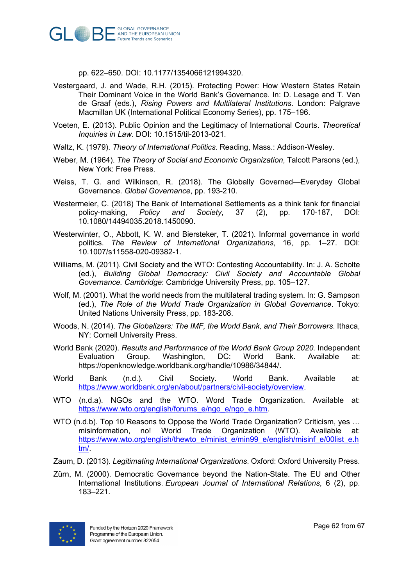

pp. 622–650. DOI: 10.1177/1354066121994320.

- Vestergaard, J. and Wade, R.H. (2015). Protecting Power: How Western States Retain Their Dominant Voice in the World Bank's Governance. In: D. Lesage and T. Van de Graaf (eds.), *Rising Powers and Multilateral Institutions*. London: Palgrave Macmillan UK (International Political Economy Series), pp. 175–196.
- Voeten, E. (2013). Public Opinion and the Legitimacy of International Courts. *Theoretical Inquiries in Law*. DOI: 10.1515/til-2013-021.
- Waltz, K. (1979). *Theory of International Politics*. Reading, Mass.: Addison-Wesley.
- Weber, M. (1964). *The Theory of Social and Economic Organization*, Talcott Parsons (ed.), New York: Free Press.
- Weiss, T. G. and Wilkinson, R. (2018). The Globally Governed—Everyday Global Governance. *Global Governance*, pp. 193-210.
- Westermeier, C. (2018) The Bank of International Settlements as a think tank for financial policy-making, *Policy and Society*, 37 (2), pp. 170-187, DOI: 10.1080/14494035.2018.1450090.
- Westerwinter, O., Abbott, K. W. and Biersteker, T. (2021). Informal governance in world politics. *The Review of International Organizations*, 16, pp. 1–27. DOI: 10.1007/s11558-020-09382-1.
- Williams, M. (2011). Civil Society and the WTO: Contesting Accountability. In: J. A. Scholte (ed.), *Building Global Democracy: Civil Society and Accountable Global Governance. Cambridge*: Cambridge University Press, pp. 105–127.
- Wolf, M. (2001). What the world needs from the multilateral trading system. In: G. Sampson (ed.), *The Role of the World Trade Organization in Global Governance*. Tokyo: United Nations University Press, pp. 183-208.
- Woods, N. (2014). *The Globalizers: The IMF, the World Bank, and Their Borrowers*. Ithaca, NY: Cornell University Press.
- World Bank (2020). *Results and Performance of the World Bank Group 2020*. Independent Evaluation Group. Washington, DC: World Bank. Available at: https://openknowledge.worldbank.org/handle/10986/34844/.
- World Bank (n.d.). Civil Society. World Bank. Available at: https://www.worldbank.org/en/about/partners/civil-society/overview.
- WTO (n.d.a). NGOs and the WTO. Word Trade Organization. Available at: https://www.wto.org/english/forums\_e/ngo\_e/ngo\_e.htm.
- WTO (n.d.b). Top 10 Reasons to Oppose the World Trade Organization? Criticism, yes ... misinformation, no! World Trade Organization (WTO). Available at: https://www.wto.org/english/thewto\_e/minist\_e/min99\_e/english/misinf\_e/00list\_e.h tm/.
- Zaum, D. (2013). *Legitimating International Organizations*. Oxford: Oxford University Press.
- Zürn, M. (2000). Democratic Governance beyond the Nation-State. The EU and Other International Institutions. *European Journal of International Relations*, 6 (2), pp. 183–221.

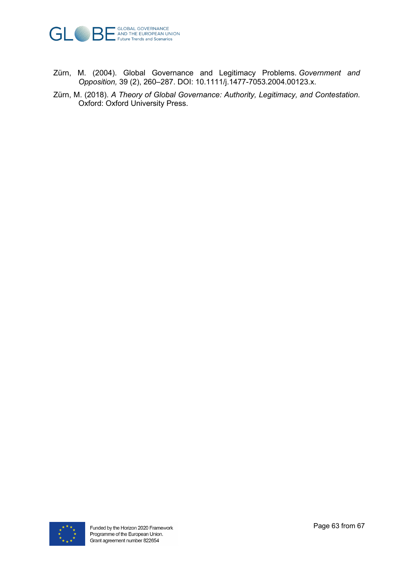

- Zürn, M. (2004). Global Governance and Legitimacy Problems. *Government and Opposition,* 39 (2), 260–287. DOI: 10.1111/j.1477-7053.2004.00123.x.
- Zürn, M. (2018). *A Theory of Global Governance: Authority, Legitimacy, and Contestation*. Oxford: Oxford University Press.

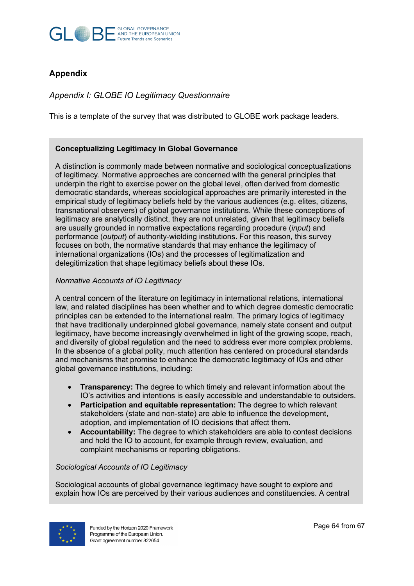

## **Appendix**

*Appendix I: GLOBE IO Legitimacy Questionnaire* 

This is a template of the survey that was distributed to GLOBE work package leaders.

#### **Conceptualizing Legitimacy in Global Governance**

A distinction is commonly made between normative and sociological conceptualizations of legitimacy. Normative approaches are concerned with the general principles that underpin the right to exercise power on the global level, often derived from domestic democratic standards, whereas sociological approaches are primarily interested in the empirical study of legitimacy beliefs held by the various audiences (e.g. elites, citizens, transnational observers) of global governance institutions. While these conceptions of legitimacy are analytically distinct, they are not unrelated, given that legitimacy beliefs are usually grounded in normative expectations regarding procedure (*input*) and performance (*output*) of authority-wielding institutions. For this reason, this survey focuses on both, the normative standards that may enhance the legitimacy of international organizations (IOs) and the processes of legitimatization and delegitimization that shape legitimacy beliefs about these IOs.

#### *Normative Accounts of IO Legitimacy*

A central concern of the literature on legitimacy in international relations, international law, and related disciplines has been whether and to which degree domestic democratic principles can be extended to the international realm. The primary logics of legitimacy that have traditionally underpinned global governance, namely state consent and output legitimacy, have become increasingly overwhelmed in light of the growing scope, reach, and diversity of global regulation and the need to address ever more complex problems. In the absence of a global polity, much attention has centered on procedural standards and mechanisms that promise to enhance the democratic legitimacy of IOs and other global governance institutions, including:

- **Transparency:** The degree to which timely and relevant information about the IO's activities and intentions is easily accessible and understandable to outsiders.
- **Participation and equitable representation:** The degree to which relevant stakeholders (state and non-state) are able to influence the development, adoption, and implementation of IO decisions that affect them.
- **Accountability:** The degree to which stakeholders are able to contest decisions and hold the IO to account, for example through review, evaluation, and complaint mechanisms or reporting obligations.

#### *Sociological Accounts of IO Legitimacy*

Sociological accounts of global governance legitimacy have sought to explore and explain how IOs are perceived by their various audiences and constituencies. A central

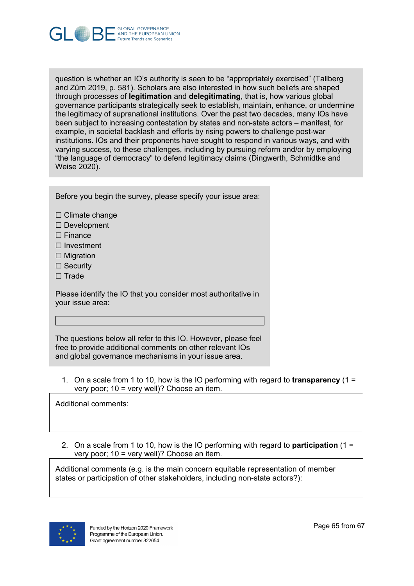

question is whether an IO's authority is seen to be "appropriately exercised" (Tallberg and Zürn 2019, p. 581). Scholars are also interested in how such beliefs are shaped through processes of **legitimation** and **delegitimating**, that is, how various global governance participants strategically seek to establish, maintain, enhance, or undermine the legitimacy of supranational institutions. Over the past two decades, many IOs have been subject to increasing contestation by states and non-state actors – manifest, for example, in societal backlash and efforts by rising powers to challenge post-war institutions. IOs and their proponents have sought to respond in various ways, and with varying success, to these challenges, including by pursuing reform and/or by employing "the language of democracy" to defend legitimacy claims (Dingwerth, Schmidtke and Weise 2020).

Before you begin the survey, please specify your issue area:

- ☐ Climate change
- ☐ Development
- ☐ Finance
- ☐ Investment
- □ Migration
- □ Security
- ☐ Trade

Please identify the IO that you consider most authoritative in your issue area:

The questions below all refer to this IO. However, please feel free to provide additional comments on other relevant IOs and global governance mechanisms in your issue area.

1. On a scale from 1 to 10, how is the IO performing with regard to **transparency** (1 = very poor; 10 = very well)? Choose an item.

Additional comments:

2. On a scale from 1 to 10, how is the IO performing with regard to **participation** (1 = very poor; 10 = very well)? Choose an item.

Additional comments (e.g. is the main concern equitable representation of member states or participation of other stakeholders, including non-state actors?):

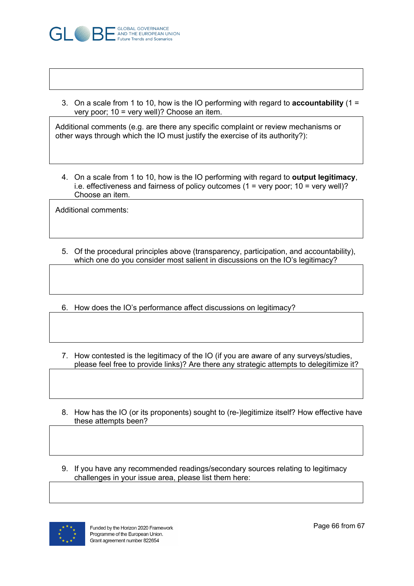

3. On a scale from 1 to 10, how is the IO performing with regard to **accountability** (1 = very poor; 10 = very well)? Choose an item.

Additional comments (e.g. are there any specific complaint or review mechanisms or other ways through which the IO must justify the exercise of its authority?):

4. On a scale from 1 to 10, how is the IO performing with regard to **output legitimacy**, i.e. effectiveness and fairness of policy outcomes (1 = very poor; 10 = very well)? Choose an item.

Additional comments:

- 5. Of the procedural principles above (transparency, participation, and accountability), which one do you consider most salient in discussions on the IO's legitimacy?
- 6. How does the IO's performance affect discussions on legitimacy?
- 7. How contested is the legitimacy of the IO (if you are aware of any surveys/studies, please feel free to provide links)? Are there any strategic attempts to delegitimize it?
- 8. How has the IO (or its proponents) sought to (re-)legitimize itself? How effective have these attempts been?
- 9. If you have any recommended readings/secondary sources relating to legitimacy challenges in your issue area, please list them here: